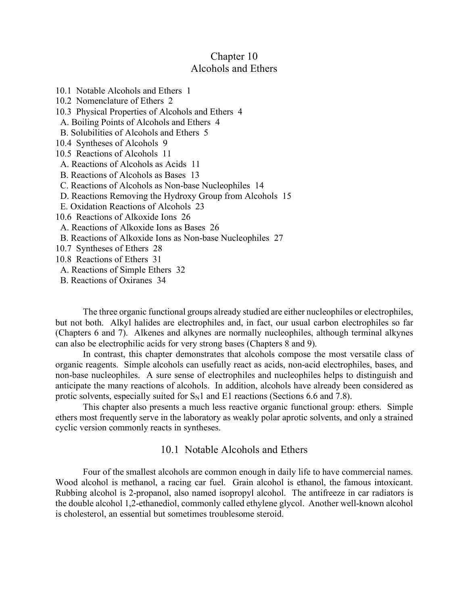## Chapter 10 Alcohols and Ethers

10.1 Notable Alcohols and Ethers 1 10.2 Nomenclature of Ethers 2 10.3 Physical Properties of Alcohols and Ethers 4 A. Boiling Points of Alcohols and Ethers 4 B. Solubilities of Alcohols and Ethers 5 10.4 Syntheses of Alcohols 9 10.5 Reactions of Alcohols 11 A. Reactions of Alcohols as Acids 11 B. Reactions of Alcohols as Bases 13 C. Reactions of Alcohols as Non-base Nucleophiles 14 D. Reactions Removing the Hydroxy Group from Alcohols 15 E. Oxidation Reactions of Alcohols 23 10.6 Reactions of Alkoxide Ions 26 A. Reactions of Alkoxide Ions as Bases 26 B. Reactions of Alkoxide Ions as Non-base Nucleophiles 27 10.7 Syntheses of Ethers 28 10.8 Reactions of Ethers 31 A. Reactions of Simple Ethers 32 B. Reactions of Oxiranes 34

The three organic functional groups already studied are either nucleophiles or electrophiles, but not both. Alkyl halides are electrophiles and, in fact, our usual carbon electrophiles so far (Chapters 6 and 7). Alkenes and alkynes are normally nucleophiles, although terminal alkynes can also be electrophilic acids for very strong bases (Chapters 8 and 9).

In contrast, this chapter demonstrates that alcohols compose the most versatile class of organic reagents. Simple alcohols can usefully react as acids, non-acid electrophiles, bases, and non-base nucleophiles. A sure sense of electrophiles and nucleophiles helps to distinguish and anticipate the many reactions of alcohols. In addition, alcohols have already been considered as protic solvents, especially suited for  $S_N1$  and E1 reactions (Sections 6.6 and 7.8).

This chapter also presents a much less reactive organic functional group: ethers. Simple ethers most frequently serve in the laboratory as weakly polar aprotic solvents, and only a strained cyclic version commonly reacts in syntheses.

## 10.1 Notable Alcohols and Ethers

Four of the smallest alcohols are common enough in daily life to have commercial names. Wood alcohol is methanol, a racing car fuel. Grain alcohol is ethanol, the famous intoxicant. Rubbing alcohol is 2-propanol, also named isopropyl alcohol. The antifreeze in car radiators is the double alcohol 1,2-ethanediol, commonly called ethylene glycol. Another well-known alcohol is cholesterol, an essential but sometimes troublesome steroid.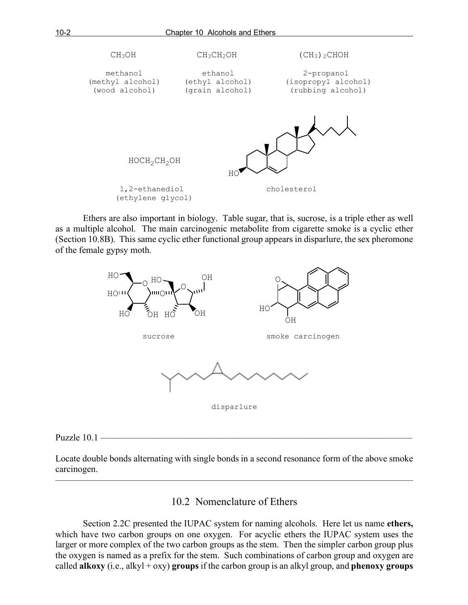

Ethers are also important in biology. Table sugar, that is, sucrose, is a triple ether as well as a multiple alcohol. The main carcinogenic metabolite from cigarette smoke is a cyclic ether (Section 10.8B). This same cyclic ether functional group appears in disparlure, the sex pheromone of the female gypsy moth.



#### Puzzle 10.1 ——————————————————————————————————

Locate double bonds alternating with single bonds in a second resonance form of the above smoke carcinogen.

———————————————————————————————————————

#### 10.2 Nomenclature of Ethers

Section 2.2C presented the IUPAC system for naming alcohols. Here let us name **ethers,** which have two carbon groups on one oxygen. For acyclic ethers the IUPAC system uses the larger or more complex of the two carbon groups as the stem. Then the simpler carbon group plus the oxygen is named as a prefix for the stem. Such combinations of carbon group and oxygen are called **alkoxy** (i.e., alkyl + oxy) **groups** if the carbon group is an alkyl group, and **phenoxy groups**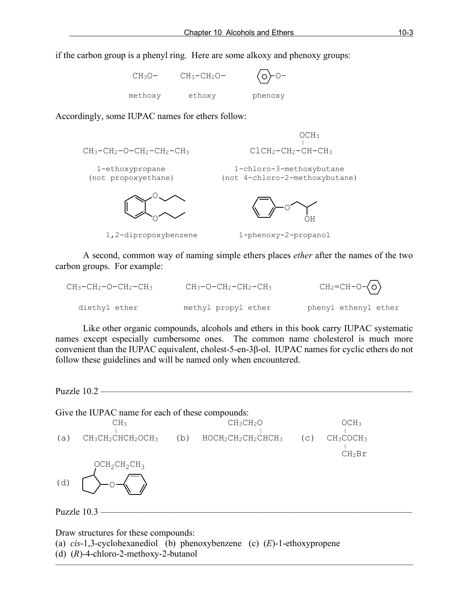if the carbon group is a phenyl ring. Here are some alkoxy and phenoxy groups:

| $CH_3O-$ | $CH_3-CH_2O-$ | $\langle 0 \rangle 0^-$ |
|----------|---------------|-------------------------|
| methoxy  | ethoxy        | phenoxy                 |

Accordingly, some IUPAC names for ethers follow:

| $CH_3-CH_2-O-CH_2-CH_2-CH_3$           | OCH <sub>3</sub><br>$CLCH2-CH2-CH-CH3$                     |
|----------------------------------------|------------------------------------------------------------|
| 1-ethoxypropane<br>(not propoxyethane) | 1-chloro-3-methoxybutane<br>(not 4-chloro-2-methoxybutane) |
|                                        |                                                            |

1,2-dipropoxybenzene 1-phenoxy-2-propanol

A second, common way of naming simple ethers places *ether* after the names of the two carbon groups. For example:

| $CH_3-CH_2-O-CH_2-CH_3$ | $CH_3-O-CH_2-CH_2-CH_3$ | $CH_2=CH-O-\langle O \rangle$ |
|-------------------------|-------------------------|-------------------------------|
| diethyl ether           | methyl propyl ether     | phenyl ethenyl ether          |

Like other organic compounds, alcohols and ethers in this book carry IUPAC systematic names except especially cumbersome ones. The common name cholesterol is much more convenient than the IUPAC equivalent, cholest-5-en-3β-ol. IUPAC names for cyclic ethers do not follow these guidelines and will be named only when encountered.

Puzzle 10.2 ————

Give the IUPAC name for each of these compounds:  $CH_3$   $CH_3CH_2O$   $CH_3CH_2O$   $CH_3$ (a)  $CH_3CH_2CHCH_2OCH_3$  (b)  $HOCH_2CH_2CH_2CHCH_3$  (c)  $CH_3COCH_3$  $CH<sub>2</sub>Br$ Puzzle  $10.3$  ——  $OCH<sub>2</sub>CH<sub>2</sub>CH<sub>3</sub>$  $(d)$ 

———————————————————————————————————————

Draw structures for these compounds:

(a) *cis*-1,3-cyclohexanediol (b) phenoxybenzene (c) (*E*)-1-ethoxypropene (d) (*R*)-4-chloro-2-methoxy-2-butanol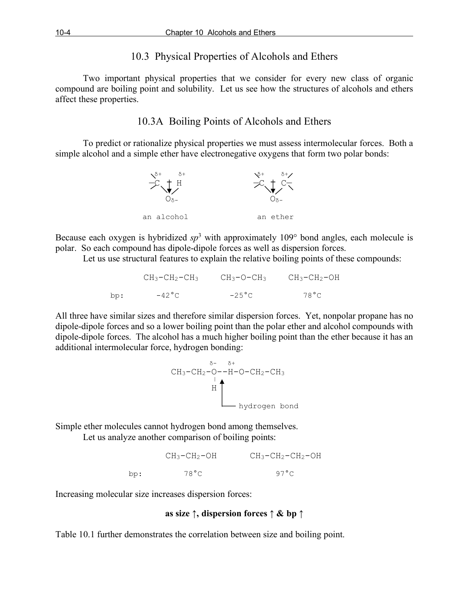## 10.3 Physical Properties of Alcohols and Ethers

Two important physical properties that we consider for every new class of organic compound are boiling point and solubility. Let us see how the structures of alcohols and ethers affect these properties.

## 10.3A Boiling Points of Alcohols and Ethers

To predict or rationalize physical properties we must assess intermolecular forces. Both a simple alcohol and a simple ether have electronegative oxygens that form two polar bonds:



Because each oxygen is hybridized *sp*<sup>3</sup> with approximately 109° bond angles, each molecule is polar. So each compound has dipole-dipole forces as well as dispersion forces.

Let us use structural features to explain the relative boiling points of these compounds:

|      | $CH_3-CH_2-CH_3$ | СНз-О-СНз       | $CH_3-CH_2-OH$ |
|------|------------------|-----------------|----------------|
| box: | $-42^{\circ}$ C  | $-25^{\circ}$ C | 78 ° C         |

All three have similar sizes and therefore similar dispersion forces. Yet, nonpolar propane has no dipole-dipole forces and so a lower boiling point than the polar ether and alcohol compounds with dipole-dipole forces. The alcohol has a much higher boiling point than the ether because it has an additional intermolecular force, hydrogen bonding:



Simple ether molecules cannot hydrogen bond among themselves. Let us analyze another comparison of boiling points:

|     | $CH_3-CH_2-OH$ | $CH_3-CH_2-CH_2-OH$ |
|-----|----------------|---------------------|
| .cd | 78 ° C         | 97 $^{\circ}$ C     |

Increasing molecular size increases dispersion forces:

#### **as size ↑, dispersion forces ↑ & bp ↑**

Table 10.1 further demonstrates the correlation between size and boiling point.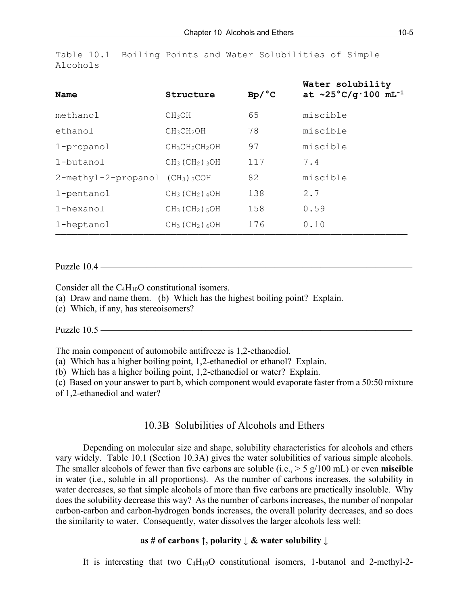| Name                                           | Structure                                | Bp/°C | Water solubility<br>at $\sim$ 25°C/g·100 mL <sup>-1</sup> |
|------------------------------------------------|------------------------------------------|-------|-----------------------------------------------------------|
| methanol                                       | CH <sub>3</sub> OH                       | 65    | miscible                                                  |
| ethanol                                        | CH3CH2OH                                 | 78    | miscible                                                  |
| 1-propanol                                     | $CH3CH2CH2OH$                            | 97    | miscible                                                  |
| 1-butanol                                      | $CH3$ (CH <sub>2</sub> ) $3OH$           | 117   | 7.4                                                       |
| $2$ -methyl-2-propanol (CH <sub>3</sub> ) 3COH |                                          | 82    | miscible                                                  |
| 1-pentanol                                     | $CH3$ (CH <sub>2</sub> ) <sub>4</sub> OH | 138   | 2.7                                                       |
| 1-hexanol                                      | $CH3$ (CH <sub>2</sub> ) $_5OH$          | 158   | 0.59                                                      |
| 1-heptanol                                     | $CH_3$ (CH <sub>2</sub> ) $_6OH$         | 176   | 0.10                                                      |
|                                                |                                          |       |                                                           |

Table 10.1 Boiling Points and Water Solubilities of Simple Alcohols

Puzzle  $10.4$  —

Consider all the C4H10O constitutional isomers.

(a) Draw and name them. (b) Which has the highest boiling point? Explain.

(c) Which, if any, has stereoisomers?

Puzzle 10.5 ————

The main component of automobile antifreeze is 1,2-ethanediol.

(a) Which has a higher boiling point, 1,2-ethanediol or ethanol? Explain.

(b) Which has a higher boiling point, 1,2-ethanediol or water? Explain.

(c) Based on your answer to part b, which component would evaporate faster from a 50:50 mixture

———————————————————————————————————————

of 1,2-ethanediol and water?

#### 10.3B Solubilities of Alcohols and Ethers

Depending on molecular size and shape, solubility characteristics for alcohols and ethers vary widely. Table 10.1 (Section 10.3A) gives the water solubilities of various simple alcohols. The smaller alcohols of fewer than five carbons are soluble (i.e., > 5 g/100 mL) or even **miscible** in water (i.e., soluble in all proportions). As the number of carbons increases, the solubility in water decreases, so that simple alcohols of more than five carbons are practically insoluble. Why does the solubility decrease this way? As the number of carbons increases, the number of nonpolar carbon-carbon and carbon-hydrogen bonds increases, the overall polarity decreases, and so does the similarity to water. Consequently, water dissolves the larger alcohols less well:

#### **as # of carbons ↑, polarity ↓ & water solubility ↓**

It is interesting that two C4H10O constitutional isomers, 1-butanol and 2-methyl-2-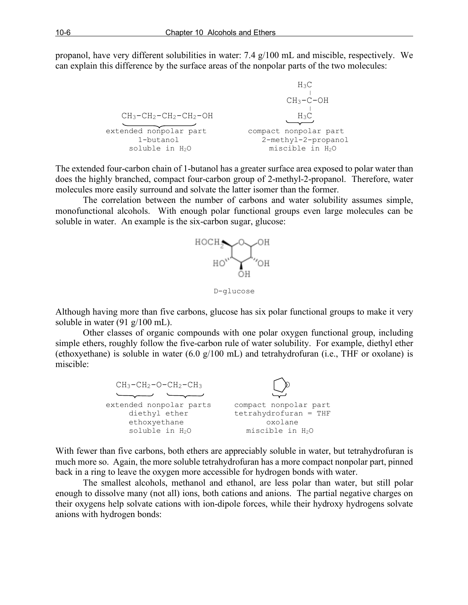propanol, have very different solubilities in water: 7.4 g/100 mL and miscible, respectively. We can explain this difference by the surface areas of the nonpolar parts of the two molecules:

```
H_3CCH_3-C-OHCH_3-CH_2-CH_2-CH_2-OH H_3C\overline{\phantom{a}}extended nonpolar part compact nonpolar part
           1-butanol 2-methyl-2-propanol
         soluble in H<sub>2</sub>O miscible in H<sub>2</sub>O
```
The extended four-carbon chain of 1-butanol has a greater surface area exposed to polar water than does the highly branched, compact four-carbon group of 2-methyl-2-propanol. Therefore, water molecules more easily surround and solvate the latter isomer than the former.

The correlation between the number of carbons and water solubility assumes simple, monofunctional alcohols. With enough polar functional groups even large molecules can be soluble in water. An example is the six-carbon sugar, glucose:



D-glucose

Although having more than five carbons, glucose has six polar functional groups to make it very soluble in water (91 g/100 mL).

Other classes of organic compounds with one polar oxygen functional group, including simple ethers, roughly follow the five-carbon rule of water solubility. For example, diethyl ether (ethoxyethane) is soluble in water (6.0 g/100 mL) and tetrahydrofuran (i.e., THF or oxolane) is miscible:



With fewer than five carbons, both ethers are appreciably soluble in water, but tetrahydrofuran is much more so. Again, the more soluble tetrahydrofuran has a more compact nonpolar part, pinned back in a ring to leave the oxygen more accessible for hydrogen bonds with water.

The smallest alcohols, methanol and ethanol, are less polar than water, but still polar enough to dissolve many (not all) ions, both cations and anions. The partial negative charges on their oxygens help solvate cations with ion-dipole forces, while their hydroxy hydrogens solvate anions with hydrogen bonds: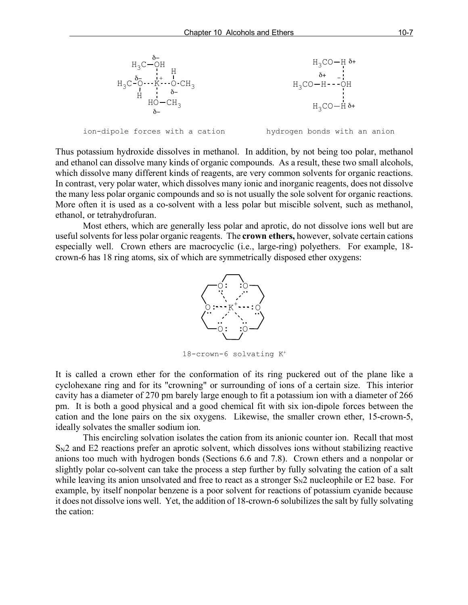

Thus potassium hydroxide dissolves in methanol. In addition, by not being too polar, methanol and ethanol can dissolve many kinds of organic compounds. As a result, these two small alcohols, which dissolve many different kinds of reagents, are very common solvents for organic reactions. In contrast, very polar water, which dissolves many ionic and inorganic reagents, does not dissolve the many less polar organic compounds and so is not usually the sole solvent for organic reactions. More often it is used as a co-solvent with a less polar but miscible solvent, such as methanol, ethanol, or tetrahydrofuran.

Most ethers, which are generally less polar and aprotic, do not dissolve ions well but are useful solvents for less polar organic reagents. The **crown ethers,** however, solvate certain cations especially well. Crown ethers are macrocyclic (i.e., large-ring) polyethers. For example, 18 crown-6 has 18 ring atoms, six of which are symmetrically disposed ether oxygens:



18-crown-6 solvating K+

It is called a crown ether for the conformation of its ring puckered out of the plane like a cyclohexane ring and for its "crowning" or surrounding of ions of a certain size. This interior cavity has a diameter of 270 pm barely large enough to fit a potassium ion with a diameter of 266 pm. It is both a good physical and a good chemical fit with six ion-dipole forces between the cation and the lone pairs on the six oxygens. Likewise, the smaller crown ether, 15-crown-5, ideally solvates the smaller sodium ion.

This encircling solvation isolates the cation from its anionic counter ion. Recall that most  $S_{N2}$  and E2 reactions prefer an aprotic solvent, which dissolves ions without stabilizing reactive anions too much with hydrogen bonds (Sections 6.6 and 7.8). Crown ethers and a nonpolar or slightly polar co-solvent can take the process a step further by fully solvating the cation of a salt while leaving its anion unsolvated and free to react as a stronger  $S_N2$  nucleophile or E2 base. For example, by itself nonpolar benzene is a poor solvent for reactions of potassium cyanide because it does not dissolve ions well. Yet, the addition of 18-crown-6 solubilizes the salt by fully solvating the cation: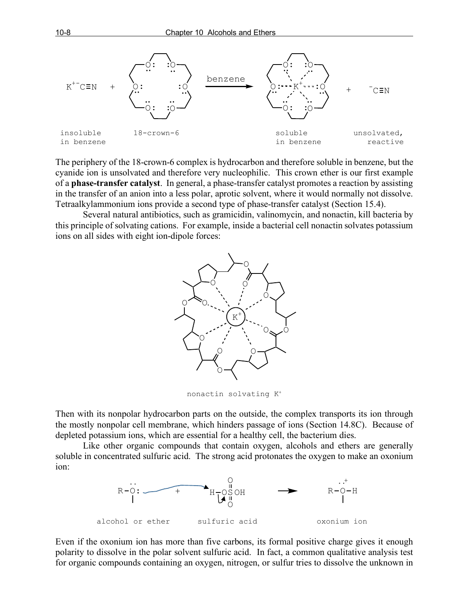

The periphery of the 18-crown-6 complex is hydrocarbon and therefore soluble in benzene, but the cyanide ion is unsolvated and therefore very nucleophilic. This crown ether is our first example of a **phase-transfer catalyst**. In general, a phase-transfer catalyst promotes a reaction by assisting in the transfer of an anion into a less polar, aprotic solvent, where it would normally not dissolve. Tetraalkylammonium ions provide a second type of phase-transfer catalyst (Section 15.4).

Several natural antibiotics, such as gramicidin, valinomycin, and nonactin, kill bacteria by this principle of solvating cations. For example, inside a bacterial cell nonactin solvates potassium ions on all sides with eight ion-dipole forces:



nonactin solvating K+

Then with its nonpolar hydrocarbon parts on the outside, the complex transports its ion through the mostly nonpolar cell membrane, which hinders passage of ions (Section 14.8C). Because of depleted potassium ions, which are essential for a healthy cell, the bacterium dies.

Like other organic compounds that contain oxygen, alcohols and ethers are generally soluble in concentrated sulfuric acid. The strong acid protonates the oxygen to make an oxonium ion:



Even if the oxonium ion has more than five carbons, its formal positive charge gives it enough polarity to dissolve in the polar solvent sulfuric acid. In fact, a common qualitative analysis test for organic compounds containing an oxygen, nitrogen, or sulfur tries to dissolve the unknown in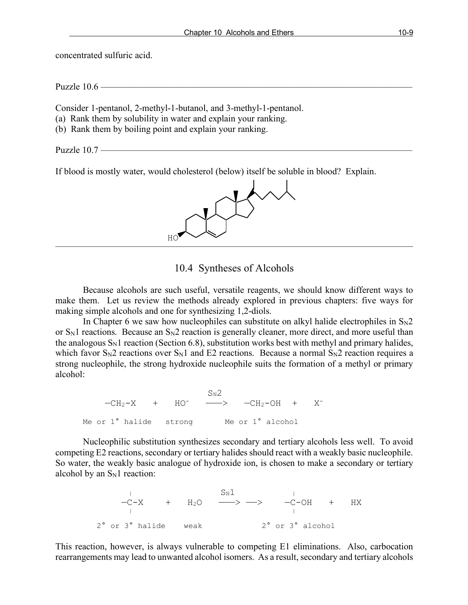concentrated sulfuric acid.

Puzzle  $10.6$  –

Consider 1-pentanol, 2-methyl-1-butanol, and 3-methyl-1-pentanol.

- (a) Rank them by solubility in water and explain your ranking.
- (b) Rank them by boiling point and explain your ranking.

Puzzle 10.7 ——————————————————————————————————

If blood is mostly water, would cholesterol (below) itself be soluble in blood? Explain.



#### 10.4 Syntheses of Alcohols

Because alcohols are such useful, versatile reagents, we should know different ways to make them. Let us review the methods already explored in previous chapters: five ways for making simple alcohols and one for synthesizing 1,2-diols.

In Chapter 6 we saw how nucleophiles can substitute on alkyl halide electrophiles in  $S_N2$ or  $S_N1$  reactions. Because an  $S_N2$  reaction is generally cleaner, more direct, and more useful than the analogous  $S_N1$  reaction (Section 6.8), substitution works best with methyl and primary halides, which favor  $S_N2$  reactions over  $S_N1$  and E2 reactions. Because a normal  $S_N2$  reaction requires a strong nucleophile, the strong hydroxide nucleophile suits the formation of a methyl or primary alcohol:

 $S_N$ 2  $-CH_2-X$  + HO<sup>-</sup> -->  $-CH_2-OH$  + X<sup>-</sup> Me or 1<sup>°</sup> halide strong Me or 1<sup>°</sup> alcohol

Nucleophilic substitution synthesizes secondary and tertiary alcohols less well. To avoid competing E2 reactions, secondary or tertiary halides should react with a weakly basic nucleophile. So water, the weakly basic analogue of hydroxide ion, is chosen to make a secondary or tertiary alcohol by an  $S_N1$  reaction:

 $\mathbb{S}_{\mathrm{N}}1$  $-C-X$  + H<sub>2</sub>O  $\longrightarrow$   $-C-OH$  + HX 2° or 3° halide weak 2° or 3° alcohol

This reaction, however, is always vulnerable to competing E1 eliminations. Also, carbocation rearrangements may lead to unwanted alcohol isomers. As a result, secondary and tertiary alcohols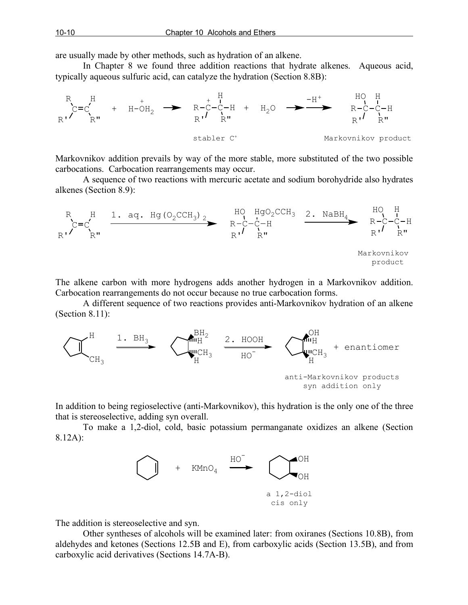are usually made by other methods, such as hydration of an alkene.

In Chapter 8 we found three addition reactions that hydrate alkenes. Aqueous acid, typically aqueous sulfuric acid, can catalyze the hydration (Section 8.8B):



Markovnikov addition prevails by way of the more stable, more substituted of the two possible carbocations. Carbocation rearrangements may occur.

A sequence of two reactions with mercuric acetate and sodium borohydride also hydrates alkenes (Section 8.9):



The alkene carbon with more hydrogens adds another hydrogen in a Markovnikov addition. Carbocation rearrangements do not occur because no true carbocation forms.

A different sequence of two reactions provides anti-Markovnikov hydration of an alkene (Section 8.11):



In addition to being regioselective (anti-Markovnikov), this hydration is the only one of the three that is stereoselective, adding syn overall.

To make a 1,2-diol, cold, basic potassium permanganate oxidizes an alkene (Section 8.12A):



The addition is stereoselective and syn.

Other syntheses of alcohols will be examined later: from oxiranes (Sections 10.8B), from aldehydes and ketones (Sections 12.5B and E), from carboxylic acids (Section 13.5B), and from carboxylic acid derivatives (Sections 14.7A-B).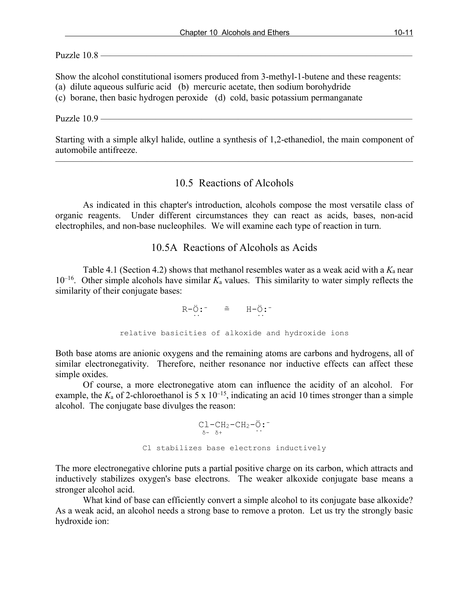Puzzle  $10.8$  —

Show the alcohol constitutional isomers produced from 3-methyl-1-butene and these reagents:

(a) dilute aqueous sulfuric acid (b) mercuric acetate, then sodium borohydride

(c) borane, then basic hydrogen peroxide (d) cold, basic potassium permanganate

Puzzle  $10.9$  ——

Starting with a simple alkyl halide, outline a synthesis of 1,2-ethanediol, the main component of automobile antifreeze.

———————————————————————————————————————

## 10.5 Reactions of Alcohols

As indicated in this chapter's introduction, alcohols compose the most versatile class of organic reagents. Under different circumstances they can react as acids, bases, non-acid electrophiles, and non-base nucleophiles. We will examine each type of reaction in turn.

### 10.5A Reactions of Alcohols as Acids

Table 4.1 (Section 4.2) shows that methanol resembles water as a weak acid with a  $K_a$  near  $10^{-16}$ . Other simple alcohols have similar  $K_a$  values. This similarity to water simply reflects the similarity of their conjugate bases:

 $R-\ddot{O}$ :  $\tilde{=}$   $H-\ddot{O}$ : .. .. relative basicities of alkoxide and hydroxide ions

Both base atoms are anionic oxygens and the remaining atoms are carbons and hydrogens, all of similar electronegativity. Therefore, neither resonance nor inductive effects can affect these simple oxides.

Of course, a more electronegative atom can influence the acidity of an alcohol. For example, the  $K_a$  of 2-chloroethanol is 5 x  $10^{-15}$ , indicating an acid 10 times stronger than a simple alcohol. The conjugate base divulges the reason:

 $Cl-CH_2-CH_2-\ddot{O}$ :  $\delta$ -  $\delta$ + ... Cl stabilizes base electrons inductively

The more electronegative chlorine puts a partial positive charge on its carbon, which attracts and inductively stabilizes oxygen's base electrons. The weaker alkoxide conjugate base means a stronger alcohol acid.

What kind of base can efficiently convert a simple alcohol to its conjugate base alkoxide? As a weak acid, an alcohol needs a strong base to remove a proton. Let us try the strongly basic hydroxide ion: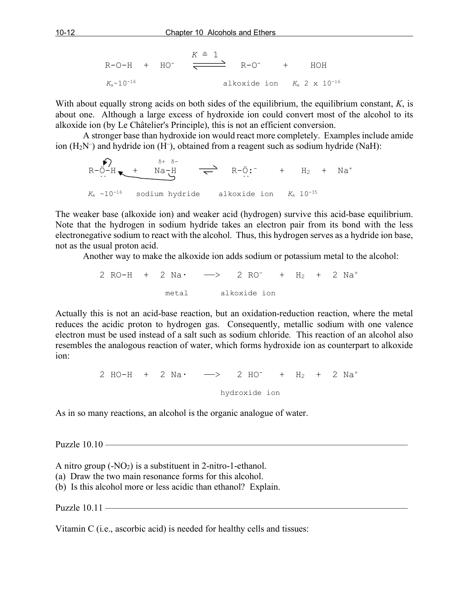R-O-H + HO<sup>-</sup> 
$$
\xrightarrow{K \cong 1}
$$
 R-O<sup>-</sup> + HOH  
 $K_a \sim 10^{-16}$    
alkoxide ion  $K_a$  2 x 10<sup>-16</sup>

With about equally strong acids on both sides of the equilibrium, the equilibrium constant, *K*, is about one. Although a large excess of hydroxide ion could convert most of the alcohol to its alkoxide ion (by Le Châtelier's Principle), this is not an efficient conversion.

A stronger base than hydroxide ion would react more completely. Examples include amide ion  $(H_2N^-)$  and hydride ion  $(H^-)$ , obtained from a reagent such as sodium hydride (NaH):

$$
R-\ddot{O}-H
$$
 
$$
K_a \sim 10^{-16}
$$
 sodium hydride  
alkoxide ion  
 $K_a$  10<sup>-35</sup>

The weaker base (alkoxide ion) and weaker acid (hydrogen) survive this acid-base equilibrium. Note that the hydrogen in sodium hydride takes an electron pair from its bond with the less electronegative sodium to react with the alcohol. Thus, this hydrogen serves as a hydride ion base, not as the usual proton acid.

Another way to make the alkoxide ion adds sodium or potassium metal to the alcohol:

2 RO-H + 2 Na $\cdot$   $\longrightarrow$  2 RO $^{-}$  + H<sub>2</sub> + 2 Na<sup>+</sup> metal alkoxide ion

Actually this is not an acid-base reaction, but an oxidation-reduction reaction, where the metal reduces the acidic proton to hydrogen gas. Consequently, metallic sodium with one valence electron must be used instead of a salt such as sodium chloride. This reaction of an alcohol also resembles the analogous reaction of water, which forms hydroxide ion as counterpart to alkoxide ion:

> 2 HO-H + 2 Na·  $\longrightarrow$  2 HO<sup>-</sup> + H<sub>2</sub> + 2 Na<sup>+</sup> hydroxide ion

As in so many reactions, an alcohol is the organic analogue of water.

Puzzle 10.10 —————

A nitro group  $(-NO<sub>2</sub>)$  is a substituent in 2-nitro-1-ethanol.

- (a) Draw the two main resonance forms for this alcohol.
- (b) Is this alcohol more or less acidic than ethanol? Explain.

Puzzle 10.11 —

Vitamin C (i.e., ascorbic acid) is needed for healthy cells and tissues: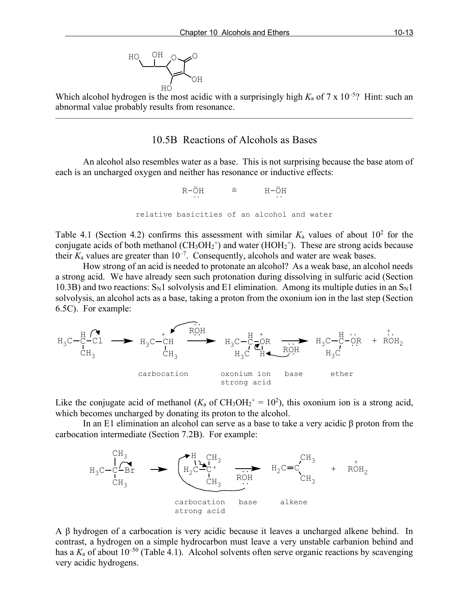

Which alcohol hydrogen is the most acidic with a surprisingly high  $K_a$  of  $7 \times 10^{-5}$ ? Hint: such an abnormal value probably results from resonance.

———————————————————————————————————————

#### 10.5B Reactions of Alcohols as Bases

An alcohol also resembles water as a base. This is not surprising because the base atom of each is an uncharged oxygen and neither has resonance or inductive effects:

$$
R-\ddot{O}H \qquad \cong \qquad H-\ddot{O}H
$$
\n...  
\n
$$
\ddots
$$
\n
$$
\ddot{C}
$$
\n
$$
\ddot{C}
$$
\n
$$
\ddot{C}
$$
\n
$$
\ddot{C}
$$
\n
$$
\ddot{C}
$$
\n
$$
\ddot{C}
$$
\n
$$
\ddot{C}
$$
\n
$$
\ddot{C}
$$
\n
$$
\ddot{C}
$$
\n
$$
\ddot{C}
$$
\n
$$
\ddot{C}
$$
\n
$$
\ddot{C}
$$
\n
$$
\ddot{C}
$$
\n
$$
\ddot{C}
$$
\n
$$
\ddot{C}
$$
\n
$$
\ddot{C}
$$
\n
$$
\ddot{C}
$$
\n
$$
\ddot{C}
$$
\n
$$
\ddot{C}
$$
\n
$$
\ddot{C}
$$
\n
$$
\ddot{C}
$$
\n
$$
\ddot{C}
$$
\n
$$
\ddot{C}
$$
\n
$$
\ddot{C}
$$
\n
$$
\ddot{C}
$$
\n
$$
\ddot{C}
$$
\n
$$
\ddot{C}
$$
\n
$$
\ddot{C}
$$
\n
$$
\ddot{C}
$$
\n
$$
\ddot{C}
$$
\n
$$
\ddot{C}
$$
\n
$$
\ddot{C}
$$
\n
$$
\ddot{C}
$$
\n
$$
\ddot{C}
$$
\n
$$
\ddot{C}
$$
\n
$$
\ddot{C}
$$
\n
$$
\ddot{C}
$$
\n
$$
\ddot{C}
$$
\n
$$
\ddot{C}
$$
\n
$$
\ddot{C}
$$
\n
$$
\ddot{C}
$$
\n
$$
\ddot{C}
$$
\n
$$
\ddot{C}
$$
\n
$$
\ddot{C}
$$
\n
$$
\ddot{C}
$$
\n
$$
\ddot{C}
$$
\n
$$
\ddot{C}
$$
\n
$$
\ddot{C}
$$
\n
$$
\ddot{C}
$$
\n
$$
\ddot{C}
$$
\n
$$
\ddot{C}
$$
\

Table 4.1 (Section 4.2) confirms this assessment with similar  $K_a$  values of about  $10^2$  for the conjugate acids of both methanol ( $CH_3OH_2$ <sup>+</sup>) and water ( $HOH_2$ <sup>+</sup>). These are strong acids because their  $K_a$  values are greater than  $10^{-7}$ . Consequently, alcohols and water are weak bases.

How strong of an acid is needed to protonate an alcohol? As a weak base, an alcohol needs a strong acid. We have already seen such protonation during dissolving in sulfuric acid (Section 10.3B) and two reactions:  $S_N1$  solvolysis and E1 elimination. Among its multiple duties in an  $S_N1$ solvolysis, an alcohol acts as a base, taking a proton from the oxonium ion in the last step (Section 6.5C). For example:



Like the conjugate acid of methanol ( $K_a$  of CH<sub>3</sub>OH<sub>2</sub><sup>+</sup> = 10<sup>2</sup>), this oxonium ion is a strong acid, which becomes uncharged by donating its proton to the alcohol.

In an E1 elimination an alcohol can serve as a base to take a very acidic β proton from the carbocation intermediate (Section 7.2B). For example:



A β hydrogen of a carbocation is very acidic because it leaves a uncharged alkene behind. In contrast, a hydrogen on a simple hydrocarbon must leave a very unstable carbanion behind and has a  $K_a$  of about 10<sup>-50</sup> (Table 4.1). Alcohol solvents often serve organic reactions by scavenging very acidic hydrogens.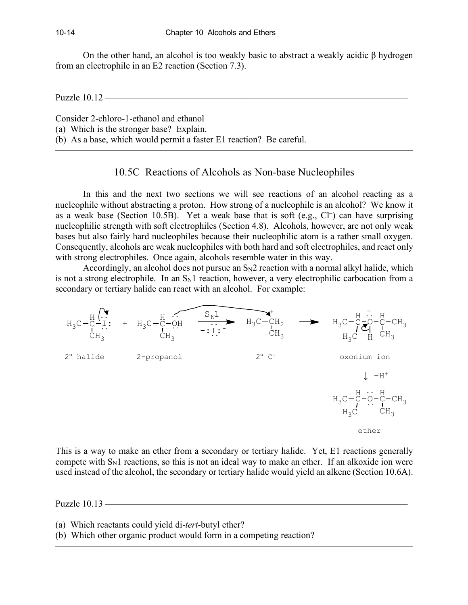On the other hand, an alcohol is too weakly basic to abstract a weakly acidic β hydrogen from an electrophile in an E2 reaction (Section 7.3).

Puzzle 10.12 -

Consider 2-chloro-1-ethanol and ethanol

(a) Which is the stronger base? Explain.

(b) As a base, which would permit a faster E1 reaction? Be careful.

#### 10.5C Reactions of Alcohols as Non-base Nucleophiles

 $\overline{\phantom{a}}$  , and the contract of the contract of  $\overline{\phantom{a}}$ 

In this and the next two sections we will see reactions of an alcohol reacting as a nucleophile without abstracting a proton. How strong of a nucleophile is an alcohol? We know it as a weak base (Section 10.5B). Yet a weak base that is soft (e.g.,  $Cl^-$ ) can have surprising nucleophilic strength with soft electrophiles (Section 4.8). Alcohols, however, are not only weak bases but also fairly hard nucleophiles because their nucleophilic atom is a rather small oxygen. Consequently, alcohols are weak nucleophiles with both hard and soft electrophiles, and react only with strong electrophiles. Once again, alcohols resemble water in this way.

Accordingly, an alcohol does not pursue an  $S_N2$  reaction with a normal alkyl halide, which is not a strong electrophile. In an  $S_N1$  reaction, however, a very electrophilic carbocation from a secondary or tertiary halide can react with an alcohol. For example:



This is a way to make an ether from a secondary or tertiary halide. Yet, E1 reactions generally compete with  $S_N1$  reactions, so this is not an ideal way to make an ether. If an alkoxide ion were used instead of the alcohol, the secondary or tertiary halide would yield an alkene (Section 10.6A).

———————————————————————————————————————

Puzzle  $10.13$  —

(a) Which reactants could yield di-*tert*-butyl ether?

(b) Which other organic product would form in a competing reaction?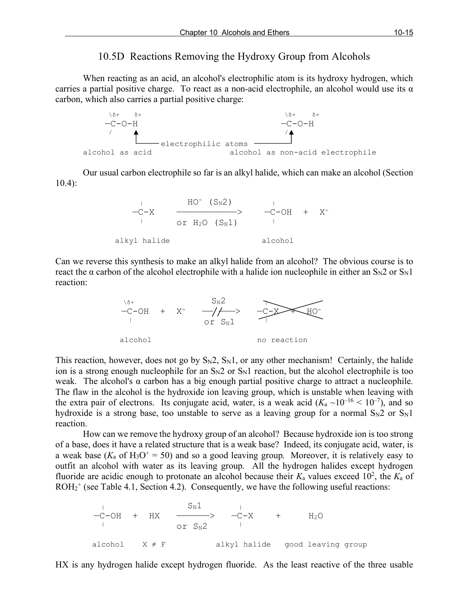#### 10.5D Reactions Removing the Hydroxy Group from Alcohols

When reacting as an acid, an alcohol's electrophilic atom is its hydroxy hydrogen, which carries a partial positive charge. To react as a non-acid electrophile, an alcohol would use its  $\alpha$ carbon, which also carries a partial positive charge:



Our usual carbon electrophile so far is an alkyl halide, which can make an alcohol (Section 10.4):



Can we reverse this synthesis to make an alkyl halide from an alcohol? The obvious course is to react the  $\alpha$  carbon of the alcohol electrophile with a halide ion nucleophile in either an S<sub>N</sub>2 or S<sub>N</sub>1 reaction:



This reaction, however, does not go by  $S_N2$ ,  $S_N1$ , or any other mechanism! Certainly, the halide ion is a strong enough nucleophile for an  $S_N2$  or  $S_N1$  reaction, but the alcohol electrophile is too weak. The alcohol's  $\alpha$  carbon has a big enough partial positive charge to attract a nucleophile. The flaw in the alcohol is the hydroxide ion leaving group, which is unstable when leaving with the extra pair of electrons. Its conjugate acid, water, is a weak acid  $(K_a \sim 10^{-16} < 10^{-7})$ , and so hydroxide is a strong base, too unstable to serve as a leaving group for a normal  $S_N2$  or  $S_N1$ reaction.

How can we remove the hydroxy group of an alcohol? Because hydroxide ion is too strong of a base, does it have a related structure that is a weak base? Indeed, its conjugate acid, water, is a weak base ( $K_a$  of H<sub>3</sub>O<sup>+</sup> = 50) and so a good leaving group. Moreover, it is relatively easy to outfit an alcohol with water as its leaving group. All the hydrogen halides except hydrogen fluoride are acidic enough to protonate an alcohol because their  $K_a$  values exceed 10<sup>2</sup>, the  $K_a$  of  $ROH<sub>2</sub><sup>+</sup>$  (see Table 4.1, Section 4.2). Consequently, we have the following useful reactions:

 | SN1 | —C-OH + HX ——————> —C-X + H2O | or SN2 | alcohol X ≠ F alkyl halide good leaving group

HX is any hydrogen halide except hydrogen fluoride. As the least reactive of the three usable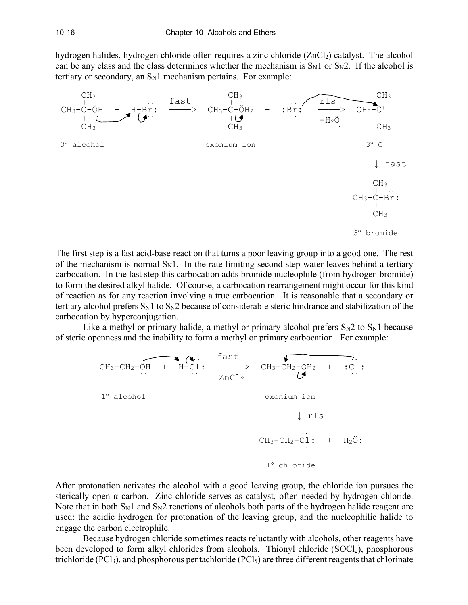hydrogen halides, hydrogen chloride often requires a zinc chloride (ZnCl<sub>2</sub>) catalyst. The alcohol can be any class and the class determines whether the mechanism is  $S_N1$  or  $S_N2$ . If the alcohol is tertiary or secondary, an  $S_N1$  mechanism pertains. For example:



The first step is a fast acid-base reaction that turns a poor leaving group into a good one. The rest of the mechanism is normal  $S_N1$ . In the rate-limiting second step water leaves behind a tertiary carbocation. In the last step this carbocation adds bromide nucleophile (from hydrogen bromide) to form the desired alkyl halide. Of course, a carbocation rearrangement might occur for this kind of reaction as for any reaction involving a true carbocation. It is reasonable that a secondary or tertiary alcohol prefers  $S_N1$  to  $S_N2$  because of considerable steric hindrance and stabilization of the carbocation by hyperconjugation.

Like a methyl or primary halide, a methyl or primary alcohol prefers  $S_N2$  to  $S_N1$  because of steric openness and the inability to form a methyl or primary carbocation. For example:



After protonation activates the alcohol with a good leaving group, the chloride ion pursues the sterically open  $\alpha$  carbon. Zinc chloride serves as catalyst, often needed by hydrogen chloride. Note that in both  $S_N1$  and  $S_N2$  reactions of alcohols both parts of the hydrogen halide reagent are used: the acidic hydrogen for protonation of the leaving group, and the nucleophilic halide to engage the carbon electrophile.

Because hydrogen chloride sometimes reacts reluctantly with alcohols, other reagents have been developed to form alkyl chlorides from alcohols. Thionyl chloride (SOCl<sub>2</sub>), phosphorous trichloride (PCl<sub>3</sub>), and phosphorous pentachloride (PCl<sub>5</sub>) are three different reagents that chlorinate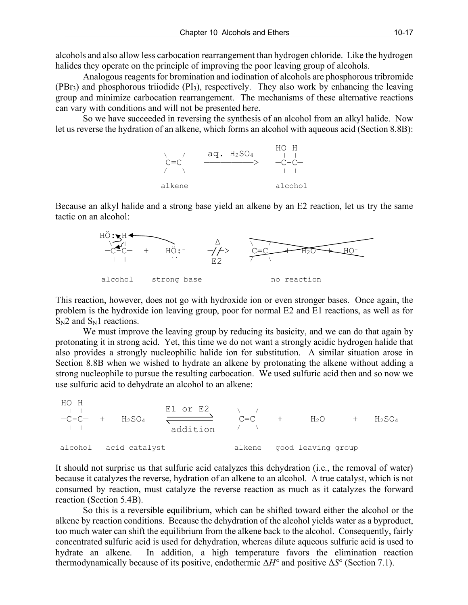alcohols and also allow less carbocation rearrangement than hydrogen chloride. Like the hydrogen halides they operate on the principle of improving the poor leaving group of alcohols.

Analogous reagents for bromination and iodination of alcohols are phosphorous tribromide (PBr3) and phosphorous triiodide (PI3), respectively. They also work by enhancing the leaving group and minimize carbocation rearrangement. The mechanisms of these alternative reactions can vary with conditions and will not be presented here.

So we have succeeded in reversing the synthesis of an alcohol from an alkyl halide. Now let us reverse the hydration of an alkene, which forms an alcohol with aqueous acid (Section 8.8B):



Because an alkyl halide and a strong base yield an alkene by an E2 reaction, let us try the same tactic on an alcohol:



This reaction, however, does not go with hydroxide ion or even stronger bases. Once again, the problem is the hydroxide ion leaving group, poor for normal E2 and E1 reactions, as well as for  $S_N2$  and  $S_N1$  reactions.

We must improve the leaving group by reducing its basicity, and we can do that again by protonating it in strong acid. Yet, this time we do not want a strongly acidic hydrogen halide that also provides a strongly nucleophilic halide ion for substitution. A similar situation arose in Section 8.8B when we wished to hydrate an alkene by protonating the alkene without adding a strong nucleophile to pursue the resulting carbocation. We used sulfuric acid then and so now we use sulfuric acid to dehydrate an alcohol to an alkene:

HO H  $\begin{array}{ccc} \text{I} & \text{I} & \text{I} \\ \text{I} & \text{I} & \text{I} \end{array}$   $\begin{array}{ccc} \text{E1} & \text{O1} & \text{E2} \end{array}$   $\begin{array}{ccc} \text{E2} & \text{I} & \text{I} \end{array}$  $-C-C-$  +  $H_2SO_4$   $\overline{\longleftarrow}$   $C=C$  +  $H_2O$  +  $H_2SO_4$  $\begin{array}{ccc} \hline \end{array}$   $\begin{array}{ccc} \hline \end{array}$  addition  $\begin{array}{ccc} \hline \end{array}$ alcohol acid catalyst and alkene good leaving group

It should not surprise us that sulfuric acid catalyzes this dehydration (i.e., the removal of water) because it catalyzes the reverse, hydration of an alkene to an alcohol. A true catalyst, which is not consumed by reaction, must catalyze the reverse reaction as much as it catalyzes the forward reaction (Section 5.4B).

So this is a reversible equilibrium, which can be shifted toward either the alcohol or the alkene by reaction conditions. Because the dehydration of the alcohol yields water as a byproduct, too much water can shift the equilibrium from the alkene back to the alcohol. Consequently, fairly concentrated sulfuric acid is used for dehydration, whereas dilute aqueous sulfuric acid is used to hydrate an alkene. In addition, a high temperature favors the elimination reaction thermodynamically because of its positive, endothermic Δ*H°* and positive Δ*S*° (Section 7.1).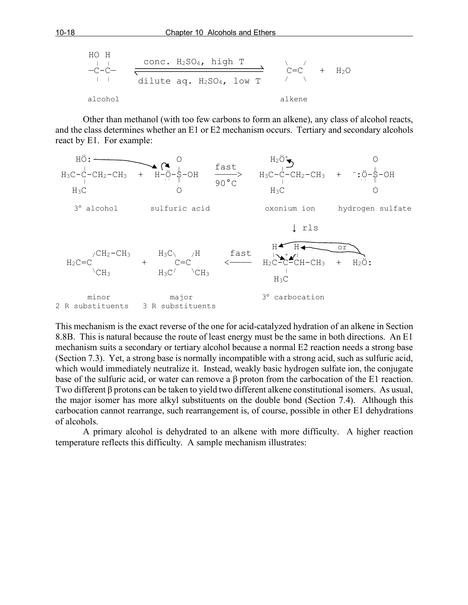HO H

\n
$$
-C-C
$$

\n $-C-C$ 

\n $0.4$ 

\n1.4

\n1.4

\n2.4

\n3.4

\n4.4

\n4.4

\n5.4

\n6.4

\n7.4

\n8.4

\n1.4

\n1.4

\n1.4

\n1.4

\n2.4

\n3.4

\n4.4

\n4.4

\n5.4

\n6.4

\n6.4

\n7.4

\n8.4

\n9.4

\n1.4

\n1.4

\n1.4

\n1.4

\n1.4

\n2.4

\n3.4

\n4.4

\n4.4

\n5.4

\n6.4

\n6.4

\n7.4

\n8.4

\n9.4

\n1.4

\n1.4

\n1.4

\n1.4

\n1.4

\n2.4

\n3.4

\n4.4

\n4.4

\n5.4

\n6.4

\n6.4

\n7.4

\n8.4

\n9.4

\n1.4

\n1.4

\n1.4

\n1.4

\n1.4

\n1.4

\n1.4

\n1.4

\n1.4

\n1.4

\n1.4

\n1.4

\n2.4

\n3.4

\n4.4

\n4.4

\n5.4

\n6.4

\n7.4

\n8.4

\n9.4

\n1.4

\n1.4

\n1.4

\n1.4

\n1.4

\n

Other than methanol (with too few carbons to form an alkene), any class of alcohol reacts, and the class determines whether an E1 or E2 mechanism occurs. Tertiary and secondary alcohols react by E1. For example:



This mechanism is the exact reverse of the one for acid-catalyzed hydration of an alkene in Section 8.8B. This is natural because the route of least energy must be the same in both directions. An E1 mechanism suits a secondary or tertiary alcohol because a normal E2 reaction needs a strong base (Section 7.3). Yet, a strong base is normally incompatible with a strong acid, such as sulfuric acid, which would immediately neutralize it. Instead, weakly basic hydrogen sulfate ion, the conjugate base of the sulfuric acid, or water can remove a β proton from the carbocation of the E1 reaction. Two different β protons can be taken to yield two different alkene constitutional isomers. As usual, the major isomer has more alkyl substituents on the double bond (Section 7.4). Although this carbocation cannot rearrange, such rearrangement is, of course, possible in other E1 dehydrations of alcohols.

A primary alcohol is dehydrated to an alkene with more difficulty. A higher reaction temperature reflects this difficulty. A sample mechanism illustrates: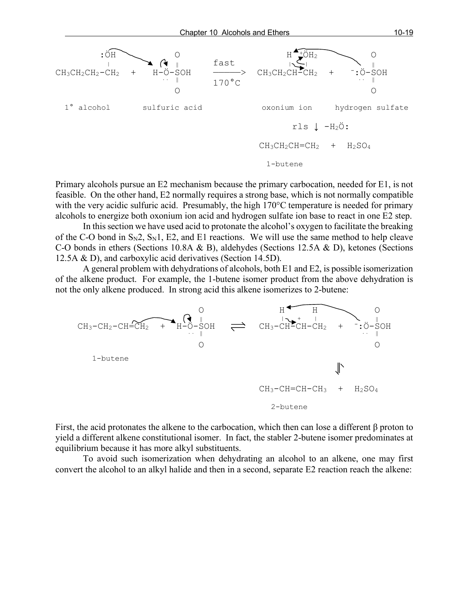

Primary alcohols pursue an E2 mechanism because the primary carbocation, needed for E1, is not feasible. On the other hand, E2 normally requires a strong base, which is not normally compatible with the very acidic sulfuric acid. Presumably, the high 170°C temperature is needed for primary alcohols to energize both oxonium ion acid and hydrogen sulfate ion base to react in one E2 step.

In this section we have used acid to protonate the alcohol's oxygen to facilitate the breaking of the C-O bond in  $S_N2$ ,  $S_N1$ , E2, and E1 reactions. We will use the same method to help cleave C-O bonds in ethers (Sections 10.8A & B), aldehydes (Sections 12.5A & D), ketones (Sections 12.5A & D), and carboxylic acid derivatives (Section 14.5D).

A general problem with dehydrations of alcohols, both E1 and E2, is possible isomerization of the alkene product. For example, the 1-butene isomer product from the above dehydration is not the only alkene produced. In strong acid this alkene isomerizes to 2-butene:



First, the acid protonates the alkene to the carbocation, which then can lose a different β proton to yield a different alkene constitutional isomer. In fact, the stabler 2-butene isomer predominates at equilibrium because it has more alkyl substituents.

To avoid such isomerization when dehydrating an alcohol to an alkene, one may first convert the alcohol to an alkyl halide and then in a second, separate E2 reaction reach the alkene: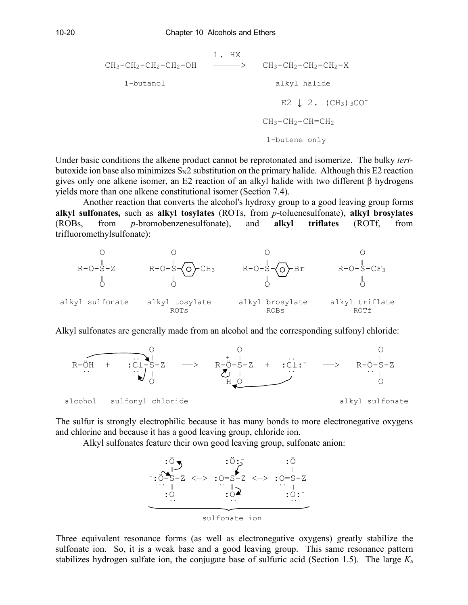1. HX  $CH_3-CH_2-CH_2-CH_2-OH$  ————>  $CH_3-CH_2-CH_2-CH_2-X$  1-butanol alkyl halide E2  $\downarrow$  2. (CH<sub>3</sub>) 3CO<sup>-</sup>  $CH<sub>3</sub>-CH<sub>2</sub>-CH=CH<sub>2</sub>$ 1-butene only

Under basic conditions the alkene product cannot be reprotonated and isomerize. The bulky *tert*butoxide ion base also minimizes  $S_N2$  substitution on the primary halide. Although this E2 reaction gives only one alkene isomer, an E2 reaction of an alkyl halide with two different β hydrogens yields more than one alkene constitutional isomer (Section 7.4).

Another reaction that converts the alcohol's hydroxy group to a good leaving group forms **alkyl sulfonates,** such as **alkyl tosylates** (ROTs, from *p*-toluenesulfonate), **alkyl brosylates**  (ROBs, from *p*-bromobenzenesulfonate), and **alkyl triflates** (ROTf, from trifluoromethylsulfonate):



Alkyl sulfonates are generally made from an alcohol and the corresponding sulfonyl chloride:



The sulfur is strongly electrophilic because it has many bonds to more electronegative oxygens and chlorine and because it has a good leaving group, chloride ion.

Alkyl sulfonates feature their own good leaving group, sulfonate anion:



Three equivalent resonance forms (as well as electronegative oxygens) greatly stabilize the sulfonate ion. So, it is a weak base and a good leaving group. This same resonance pattern stabilizes hydrogen sulfate ion, the conjugate base of sulfuric acid (Section 1.5). The large *K*a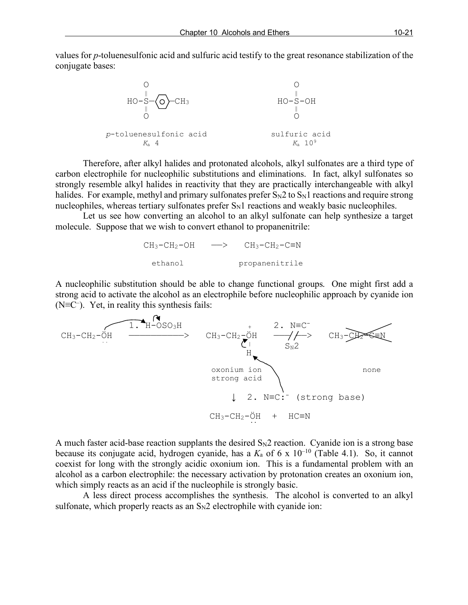values for *p*-toluenesulfonic acid and sulfuric acid testify to the great resonance stabilization of the conjugate bases:



Therefore, after alkyl halides and protonated alcohols, alkyl sulfonates are a third type of carbon electrophile for nucleophilic substitutions and eliminations. In fact, alkyl sulfonates so strongly resemble alkyl halides in reactivity that they are practically interchangeable with alkyl halides. For example, methyl and primary sulfonates prefer  $S_N2$  to  $S_N1$  reactions and require strong nucleophiles, whereas tertiary sulfonates prefer  $S_N1$  reactions and weakly basic nucleophiles.

Let us see how converting an alcohol to an alkyl sulfonate can help synthesize a target molecule. Suppose that we wish to convert ethanol to propanenitrile:

|         | $CH_3-CH_2-OH$ $\longrightarrow$ $CH_3-CH_2-CH_2$ |
|---------|---------------------------------------------------|
| ethanol | propanenitrile                                    |

A nucleophilic substitution should be able to change functional groups. One might first add a strong acid to activate the alcohol as an electrophile before nucleophilic approach by cyanide ion  $(N\equiv C^-)$ . Yet, in reality this synthesis fails: ). Yet, in reality this synthesis fails:



A much faster acid-base reaction supplants the desired  $S_N2$  reaction. Cyanide ion is a strong base because its conjugate acid, hydrogen cyanide, has a *K*<sup>a</sup> of 6 x 10–10 (Table 4.1). So, it cannot coexist for long with the strongly acidic oxonium ion. This is a fundamental problem with an alcohol as a carbon electrophile: the necessary activation by protonation creates an oxonium ion, which simply reacts as an acid if the nucleophile is strongly basic.

A less direct process accomplishes the synthesis. The alcohol is converted to an alkyl sulfonate, which properly reacts as an  $S_N2$  electrophile with cyanide ion: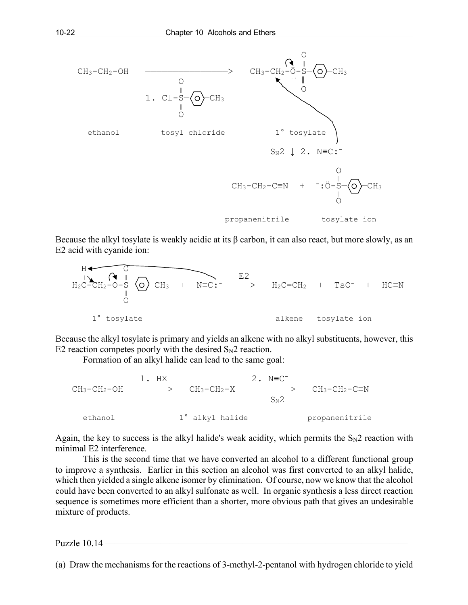

Because the alkyl tosylate is weakly acidic at its  $\beta$  carbon, it can also react, but more slowly, as an E2 acid with cyanide ion:



Because the alkyl tosylate is primary and yields an alkene with no alkyl substituents, however, this E2 reaction competes poorly with the desired  $S_N$ 2 reaction.

Formation of an alkyl halide can lead to the same goal:

1. HX 2. N≡C<sup>-</sup>  $CH_3-CH_2-OH$  ————>  $CH_3-CH_2-X$  —————>  $CH_3-CH_2-CH_2-CH_2$  $S_N$ 2 ethanol 1° alkyl halide propanenitrile

Again, the key to success is the alkyl halide's weak acidity, which permits the  $S_N2$  reaction with minimal E2 interference.

This is the second time that we have converted an alcohol to a different functional group to improve a synthesis. Earlier in this section an alcohol was first converted to an alkyl halide, which then yielded a single alkene isomer by elimination. Of course, now we know that the alcohol could have been converted to an alkyl sulfonate as well. In organic synthesis a less direct reaction sequence is sometimes more efficient than a shorter, more obvious path that gives an undesirable mixture of products.

Puzzle  $10.14$  —

(a) Draw the mechanisms for the reactions of 3-methyl-2-pentanol with hydrogen chloride to yield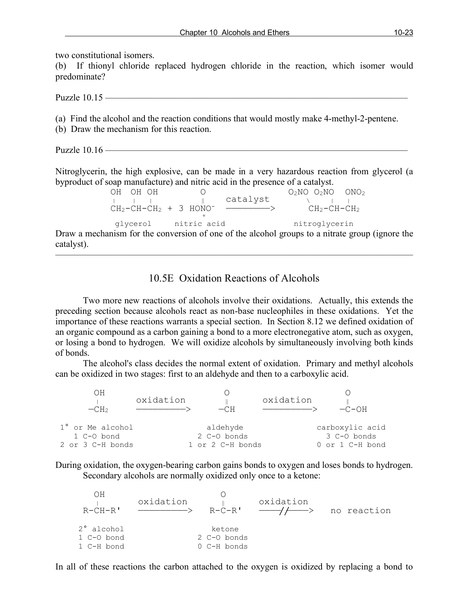two constitutional isomers.

(b) If thionyl chloride replaced hydrogen chloride in the reaction, which isomer would predominate?

Puzzle 10.15 ——

(a) Find the alcohol and the reaction conditions that would mostly make 4-methyl-2-pentene.

(b) Draw the mechanism for this reaction.

Puzzle 10.16 —————————————————————————————————

Nitroglycerin, the high explosive, can be made in a very hazardous reaction from glycerol (a byproduct of soap manufacture) and nitric acid in the presence of a catalyst.

| OH OH OH |                                      |          | $O_2NO$ $O_2NO$ $ONO_2$ |  |
|----------|--------------------------------------|----------|-------------------------|--|
|          |                                      | catalyst |                         |  |
|          | $CH_2-CH-CH_2 + 3$ HONO <sup>-</sup> |          | CH2-CH-CH2              |  |
|          |                                      |          |                         |  |
| qlycerol | nitric acid                          |          | nitroglycerin           |  |
|          |                                      |          |                         |  |

Draw a mechanism for the conversion of one of the alcohol groups to a nitrate group (ignore the catalyst).

———————————————————————————————————————

## 10.5E Oxidation Reactions of Alcohols

Two more new reactions of alcohols involve their oxidations. Actually, this extends the preceding section because alcohols react as non-base nucleophiles in these oxidations. Yet the importance of these reactions warrants a special section. In Section 8.12 we defined oxidation of an organic compound as a carbon gaining a bond to a more electronegative atom, such as oxygen, or losing a bond to hydrogen. We will oxidize alcohols by simultaneously involving both kinds of bonds.

The alcohol's class decides the normal extent of oxidation. Primary and methyl alcohols can be oxidized in two stages: first to an aldehyde and then to a carboxylic acid.

| OН<br>$-CH2$                                       | oxidation | $-CH$                                       | oxidation | $-C-OH$                                           |
|----------------------------------------------------|-----------|---------------------------------------------|-----------|---------------------------------------------------|
| 1° or Me alcohol<br>1 C-O bond<br>2 or 3 C-H bonds |           | aldehyde<br>2 C-O bonds<br>1 or 2 C-H bonds |           | carboxylic acid<br>3 C-O bonds<br>0 or 1 C-H bond |

During oxidation, the oxygen-bearing carbon gains bonds to oxygen and loses bonds to hydrogen. Secondary alcohols are normally oxidized only once to a ketone:

| ЭH<br>$R-CH-R$ | oxidation | R-C-R'      | oxidation | no reaction |
|----------------|-----------|-------------|-----------|-------------|
| 2° alcohol     |           | ketone      |           |             |
| 1 C-O bond     |           | 2 C-O bonds |           |             |
| 1 C-H bond     |           | 0 C-H bonds |           |             |

In all of these reactions the carbon attached to the oxygen is oxidized by replacing a bond to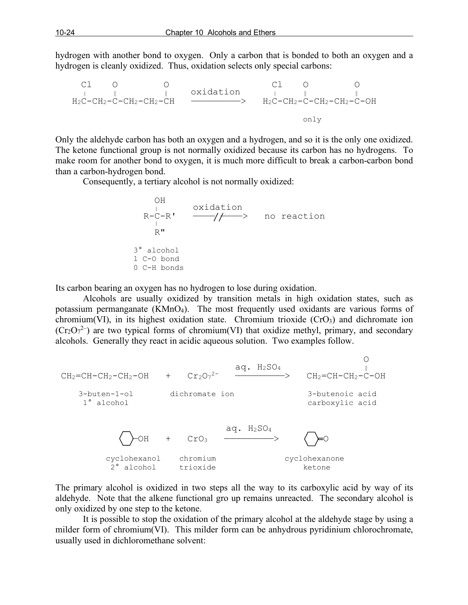hydrogen with another bond to oxygen. Only a carbon that is bonded to both an oxygen and a hydrogen is cleanly oxidized. Thus, oxidation selects only special carbons:

 Cl O O Cl O O | ‖ ‖ oxidation | ‖ ‖ H2C-CH2-C-CH2-CH2-CH —————————> H2C-CH2-C-CH2-CH2-C-OH only

Only the aldehyde carbon has both an oxygen and a hydrogen, and so it is the only one oxidized. The ketone functional group is not normally oxidized because its carbon has no hydrogens. To make room for another bond to oxygen, it is much more difficult to break a carbon-carbon bond than a carbon-hydrogen bond.

Consequently, a tertiary alcohol is not normally oxidized:

OH

\n
$$
R-C-R'
$$

\nof

\n $R-C-R'$ 

\nof

\n $R''$ 

\n3° alcohol

\n1 C-O bond

\n0 C-H bonds

Its carbon bearing an oxygen has no hydrogen to lose during oxidation.

Alcohols are usually oxidized by transition metals in high oxidation states, such as potassium permanganate (KMnO4). The most frequently used oxidants are various forms of chromium(VI), in its highest oxidation state. Chromium trioxide  $(CrO<sub>3</sub>)$  and dichromate ion  $(Cr_2O_7^{2-})$  are two typical forms of chromium(VI) that oxidize methyl, primary, and secondary alcohols. Generally they react in acidic aqueous solution. Two examples follow.



The primary alcohol is oxidized in two steps all the way to its carboxylic acid by way of its aldehyde. Note that the alkene functional gro up remains unreacted. The secondary alcohol is only oxidized by one step to the ketone.

It is possible to stop the oxidation of the primary alcohol at the aldehyde stage by using a milder form of chromium(VI). This milder form can be anhydrous pyridinium chlorochromate, usually used in dichloromethane solvent: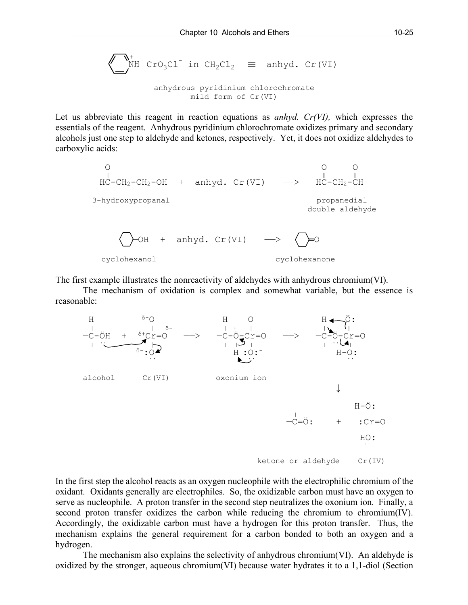$$
\sum_{\text{NH}}^{+}
$$
  $\text{Cro}_3\text{Cl}^{-}$  in  $\text{CH}_2\text{Cl}_2$   $\equiv$  anhyd.  $\text{Cr}(\text{VI})$ 

anhydrous pyridinium chlorochromate mild form of Cr(VI)

Let us abbreviate this reagent in reaction equations as *anhyd. Cr(VI),* which expresses the essentials of the reagent. Anhydrous pyridinium chlorochromate oxidizes primary and secondary alcohols just one step to aldehyde and ketones, respectively. Yet, it does not oxidize aldehydes to carboxylic acids:



The first example illustrates the nonreactivity of aldehydes with anhydrous chromium(VI).

The mechanism of oxidation is complex and somewhat variable, but the essence is reasonable:



In the first step the alcohol reacts as an oxygen nucleophile with the electrophilic chromium of the oxidant. Oxidants generally are electrophiles. So, the oxidizable carbon must have an oxygen to serve as nucleophile. A proton transfer in the second step neutralizes the oxonium ion. Finally, a second proton transfer oxidizes the carbon while reducing the chromium to chromium(IV). Accordingly, the oxidizable carbon must have a hydrogen for this proton transfer. Thus, the mechanism explains the general requirement for a carbon bonded to both an oxygen and a hydrogen.

The mechanism also explains the selectivity of anhydrous chromium(VI). An aldehyde is oxidized by the stronger, aqueous chromium(VI) because water hydrates it to a 1,1-diol (Section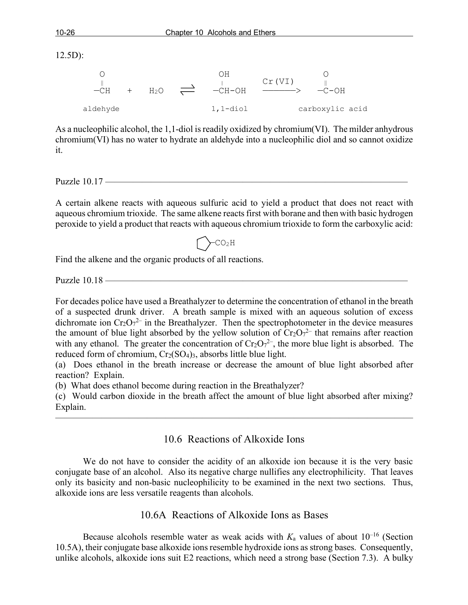12.5D):

| $-CH$    | H <sub>2</sub> O | $\rightleftharpoons$ | ЛH<br>$-CH-OH$ | Cr(VI) | $-C-OH$         |  |
|----------|------------------|----------------------|----------------|--------|-----------------|--|
| aldehyde |                  |                      | $1, 1$ -diol   |        | carboxylic acid |  |

As a nucleophilic alcohol, the 1,1-diol is readily oxidized by chromium(VI). The milder anhydrous chromium(VI) has no water to hydrate an aldehyde into a nucleophilic diol and so cannot oxidize it.

Puzzle  $10.17$  —

A certain alkene reacts with aqueous sulfuric acid to yield a product that does not react with aqueous chromium trioxide. The same alkene reacts first with borane and then with basic hydrogen peroxide to yield a product that reacts with aqueous chromium trioxide to form the carboxylic acid:

 $-CO<sub>2</sub>H$ 

Find the alkene and the organic products of all reactions.

Puzzle  $10.18$   $-$ 

For decades police have used a Breathalyzer to determine the concentration of ethanol in the breath of a suspected drunk driver. A breath sample is mixed with an aqueous solution of excess dichromate ion  $Cr_2O_7^2$  in the Breathalyzer. Then the spectrophotometer in the device measures the amount of blue light absorbed by the yellow solution of  $Cr_2O_7^{2-}$  that remains after reaction with any ethanol. The greater the concentration of  $Cr_2O_7^{2-}$ , the more blue light is absorbed. The reduced form of chromium,  $Cr_2(SO_4)_3$ , absorbs little blue light.

(a) Does ethanol in the breath increase or decrease the amount of blue light absorbed after reaction? Explain.

(b) What does ethanol become during reaction in the Breathalyzer?

(c) Would carbon dioxide in the breath affect the amount of blue light absorbed after mixing? Explain.

———————————————————————————————————————

#### 10.6 Reactions of Alkoxide Ions

We do not have to consider the acidity of an alkoxide ion because it is the very basic conjugate base of an alcohol. Also its negative charge nullifies any electrophilicity. That leaves only its basicity and non-basic nucleophilicity to be examined in the next two sections. Thus, alkoxide ions are less versatile reagents than alcohols.

#### 10.6A Reactions of Alkoxide Ions as Bases

Because alcohols resemble water as weak acids with  $K_a$  values of about  $10^{-16}$  (Section 10.5A), their conjugate base alkoxide ions resemble hydroxide ions as strong bases. Consequently, unlike alcohols, alkoxide ions suit E2 reactions, which need a strong base (Section 7.3). A bulky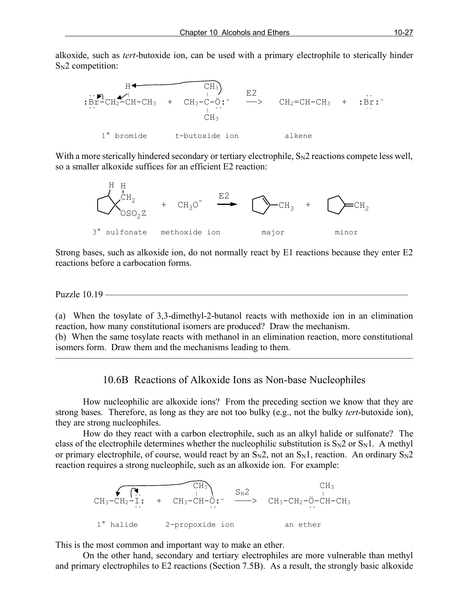alkoxide, such as *tert*-butoxide ion, can be used with a primary electrophile to sterically hinder  $S_N2$  competition:



With a more sterically hindered secondary or tertiary electrophile,  $S_N2$  reactions compete less well, so a smaller alkoxide suffices for an efficient E2 reaction:



Strong bases, such as alkoxide ion, do not normally react by E1 reactions because they enter E2 reactions before a carbocation forms.

Puzzle 10.19 ——

(a) When the tosylate of 3,3-dimethyl-2-butanol reacts with methoxide ion in an elimination reaction, how many constitutional isomers are produced? Draw the mechanism.

(b) When the same tosylate reacts with methanol in an elimination reaction, more constitutional isomers form. Draw them and the mechanisms leading to them.

———————————————————————————————————————

10.6B Reactions of Alkoxide Ions as Non-base Nucleophiles

How nucleophilic are alkoxide ions? From the preceding section we know that they are strong bases. Therefore, as long as they are not too bulky (e.g., not the bulky *tert*-butoxide ion), they are strong nucleophiles.

How do they react with a carbon electrophile, such as an alkyl halide or sulfonate? The class of the electrophile determines whether the nucleophilic substitution is  $S_N2$  or  $S_N1$ . A methyl or primary electrophile, of course, would react by an  $S_N2$ , not an  $S_N1$ , reaction. An ordinary  $S_N2$ reaction requires a strong nucleophile, such as an alkoxide ion. For example:



This is the most common and important way to make an ether.

On the other hand, secondary and tertiary electrophiles are more vulnerable than methyl and primary electrophiles to E2 reactions (Section 7.5B). As a result, the strongly basic alkoxide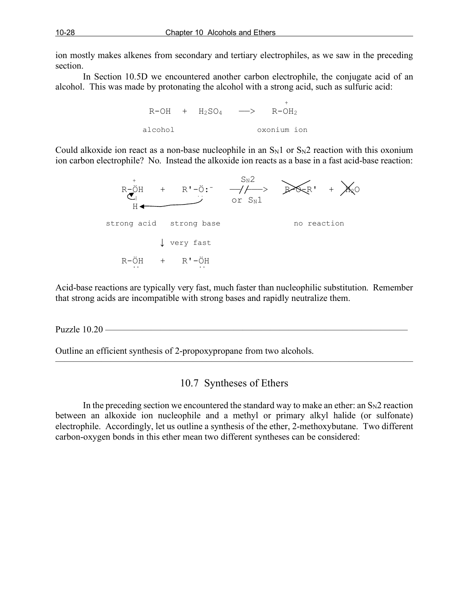ion mostly makes alkenes from secondary and tertiary electrophiles, as we saw in the preceding section.

In Section 10.5D we encountered another carbon electrophile, the conjugate acid of an alcohol. This was made by protonating the alcohol with a strong acid, such as sulfuric acid:



Could alkoxide ion react as a non-base nucleophile in an  $S_N1$  or  $S_N2$  reaction with this oxonium ion carbon electrophile? No. Instead the alkoxide ion reacts as a base in a fast acid-base reaction:



Acid-base reactions are typically very fast, much faster than nucleophilic substitution. Remember that strong acids are incompatible with strong bases and rapidly neutralize them.

Puzzle 10.20 ————

Outline an efficient synthesis of 2-propoxypropane from two alcohols.

## 10.7 Syntheses of Ethers

———————————————————————————————————————

In the preceding section we encountered the standard way to make an ether: an  $S_N2$  reaction between an alkoxide ion nucleophile and a methyl or primary alkyl halide (or sulfonate) electrophile. Accordingly, let us outline a synthesis of the ether, 2-methoxybutane. Two different carbon-oxygen bonds in this ether mean two different syntheses can be considered: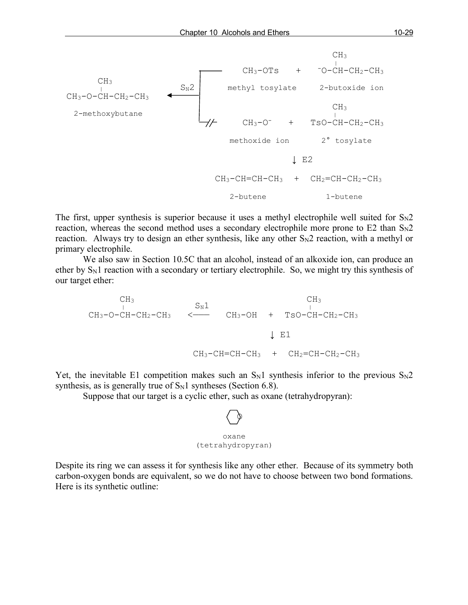

The first, upper synthesis is superior because it uses a methyl electrophile well suited for  $S_N 2$ reaction, whereas the second method uses a secondary electrophile more prone to  $E2$  than  $S_N2$ reaction. Always try to design an ether synthesis, like any other  $S_N2$  reaction, with a methyl or primary electrophile.

We also saw in Section 10.5C that an alcohol, instead of an alkoxide ion, can produce an ether by  $S_N1$  reaction with a secondary or tertiary electrophile. So, we might try this synthesis of our target ether:

 $CH_3$   $S_N1$   $CH_3$  $CH_3-O-CH-CH_2-CH_3$  <——  $CH_3-OH$  +  $TSO-CH-CH_2-CH_3$  $\downarrow$  E1  $CH_3-CH=CH-CH_3$  +  $CH_2=CH-CH_2-CH_3$ 

Yet, the inevitable E1 competition makes such an  $S_N1$  synthesis inferior to the previous  $S_N2$ synthesis, as is generally true of  $S_N1$  syntheses (Section 6.8).

Suppose that our target is a cyclic ether, such as oxane (tetrahydropyran):

$$
\bigotimes_{\text{oxane}}
$$
\n(tetrahydropyran)

Despite its ring we can assess it for synthesis like any other ether. Because of its symmetry both carbon-oxygen bonds are equivalent, so we do not have to choose between two bond formations. Here is its synthetic outline: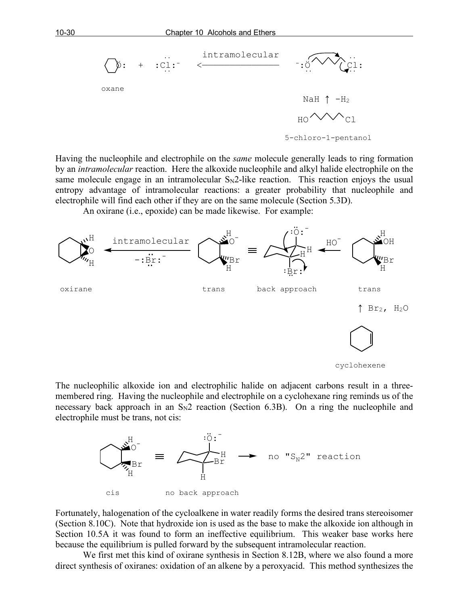

Having the nucleophile and electrophile on the *same* molecule generally leads to ring formation by an *intramolecular* reaction. Here the alkoxide nucleophile and alkyl halide electrophile on the same molecule engage in an intramolecular  $S_N2$ -like reaction. This reaction enjoys the usual entropy advantage of intramolecular reactions: a greater probability that nucleophile and electrophile will find each other if they are on the same molecule (Section 5.3D).

An oxirane (i.e., epoxide) can be made likewise. For example:



The nucleophilic alkoxide ion and electrophilic halide on adjacent carbons result in a threemembered ring. Having the nucleophile and electrophile on a cyclohexane ring reminds us of the necessary back approach in an  $S_N2$  reaction (Section 6.3B). On a ring the nucleophile and electrophile must be trans, not cis:



Fortunately, halogenation of the cycloalkene in water readily forms the desired trans stereoisomer (Section 8.10C). Note that hydroxide ion is used as the base to make the alkoxide ion although in Section 10.5A it was found to form an ineffective equilibrium. This weaker base works here because the equilibrium is pulled forward by the subsequent intramolecular reaction.

We first met this kind of oxirane synthesis in Section 8.12B, where we also found a more direct synthesis of oxiranes: oxidation of an alkene by a peroxyacid. This method synthesizes the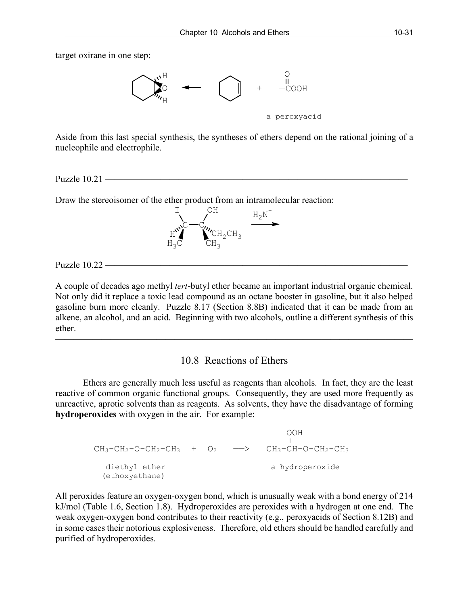target oxirane in one step:



Aside from this last special synthesis, the syntheses of ethers depend on the rational joining of a nucleophile and electrophile.

Puzzle  $10.21$  —

Draw the stereoisomer of the ether product from an intramolecular reaction:



Puzzle  $10.22 -$ 

A couple of decades ago methyl *tert*-butyl ether became an important industrial organic chemical. Not only did it replace a toxic lead compound as an octane booster in gasoline, but it also helped gasoline burn more cleanly. Puzzle 8.17 (Section 8.8B) indicated that it can be made from an alkene, an alcohol, and an acid. Beginning with two alcohols, outline a different synthesis of this ether.

#### 10.8 Reactions of Ethers

 $\overline{\phantom{a}}$  , and the contract of the contract of  $\overline{\phantom{a}}$ 

Ethers are generally much less useful as reagents than alcohols. In fact, they are the least reactive of common organic functional groups. Consequently, they are used more frequently as unreactive, aprotic solvents than as reagents. As solvents, they have the disadvantage of forming **hydroperoxides** with oxygen in the air. For example:

|                                                           |  | OOH             |
|-----------------------------------------------------------|--|-----------------|
| $CH_3-CH_2-O-CH_2-CH_3$ + $O_2$ --> $CH_3-CH-O-CH_2-CH_3$ |  |                 |
| diethyl ether<br>(ethoxyethane)                           |  | a hydroperoxide |

All peroxides feature an oxygen-oxygen bond, which is unusually weak with a bond energy of 214 kJ/mol (Table 1.6, Section 1.8). Hydroperoxides are peroxides with a hydrogen at one end. The weak oxygen-oxygen bond contributes to their reactivity (e.g., peroxyacids of Section 8.12B) and in some cases their notorious explosiveness. Therefore, old ethers should be handled carefully and purified of hydroperoxides.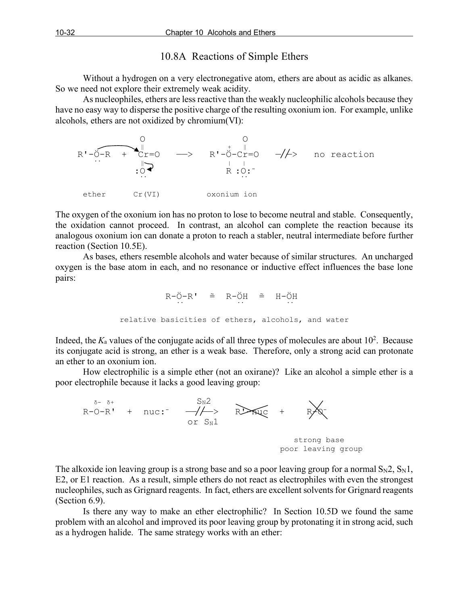## 10.8A Reactions of Simple Ethers

Without a hydrogen on a very electronegative atom, ethers are about as acidic as alkanes. So we need not explore their extremely weak acidity.

As nucleophiles, ethers are less reactive than the weakly nucleophilic alcohols because they have no easy way to disperse the positive charge of the resulting oxonium ion. For example, unlike alcohols, ethers are not oxidized by chromium(VI):



The oxygen of the oxonium ion has no proton to lose to become neutral and stable. Consequently, the oxidation cannot proceed. In contrast, an alcohol can complete the reaction because its analogous oxonium ion can donate a proton to reach a stabler, neutral intermediate before further reaction (Section 10.5E).

As bases, ethers resemble alcohols and water because of similar structures. An uncharged oxygen is the base atom in each, and no resonance or inductive effect influences the base lone pairs:

$$
R-\ddot{O}-R' \cong R-\ddot{O}H \cong H-\ddot{O}H
$$
  
relative basicities of others, alcohols, and water

Indeed, the  $K_a$  values of the conjugate acids of all three types of molecules are about  $10^2$ . Because its conjugate acid is strong, an ether is a weak base. Therefore, only a strong acid can protonate an ether to an oxonium ion.

How electrophilic is a simple ether (not an oxirane)? Like an alcohol a simple ether is a poor electrophile because it lacks a good leaving group:



The alkoxide ion leaving group is a strong base and so a poor leaving group for a normal  $S_N2$ ,  $S_N1$ , E2, or E1 reaction. As a result, simple ethers do not react as electrophiles with even the strongest nucleophiles, such as Grignard reagents. In fact, ethers are excellent solvents for Grignard reagents (Section 6.9).

Is there any way to make an ether electrophilic? In Section 10.5D we found the same problem with an alcohol and improved its poor leaving group by protonating it in strong acid, such as a hydrogen halide. The same strategy works with an ether: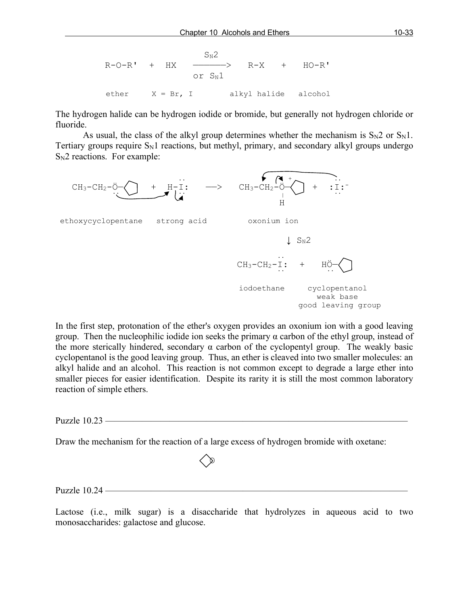R-O-R' + HX 
$$
\xrightarrow{S_N2}
$$
 R-X + HO-R'  
or Sn1  
ether X = Br, I alkyl halide alcohol

The hydrogen halide can be hydrogen iodide or bromide, but generally not hydrogen chloride or fluoride.

As usual, the class of the alkyl group determines whether the mechanism is  $S_N2$  or  $S_N1$ . Tertiary groups require  $S_N1$  reactions, but methyl, primary, and secondary alkyl groups undergo  $S_N2$  reactions. For example:



In the first step, protonation of the ether's oxygen provides an oxonium ion with a good leaving group. Then the nucleophilic iodide ion seeks the primary  $\alpha$  carbon of the ethyl group, instead of the more sterically hindered, secondary  $\alpha$  carbon of the cyclopentyl group. The weakly basic cyclopentanol is the good leaving group. Thus, an ether is cleaved into two smaller molecules: an alkyl halide and an alcohol. This reaction is not common except to degrade a large ether into smaller pieces for easier identification. Despite its rarity it is still the most common laboratory reaction of simple ethers.

Puzzle 10.23 —————————————————————————————————

Draw the mechanism for the reaction of a large excess of hydrogen bromide with oxetane:



Lactose (i.e., milk sugar) is a disaccharide that hydrolyzes in aqueous acid to two monosaccharides: galactose and glucose.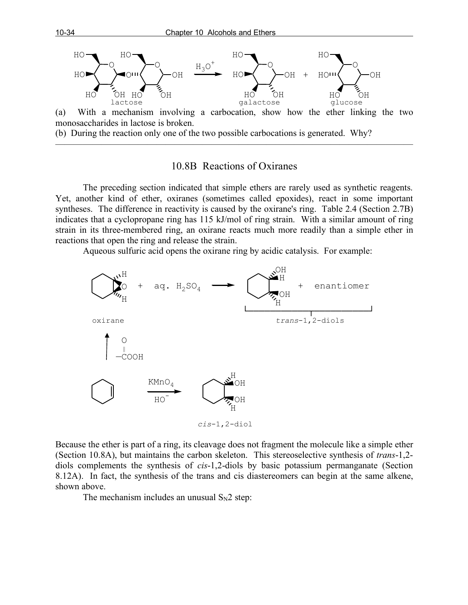

(b) During the reaction only one of the two possible carbocations is generated. Why?

#### 10.8B Reactions of Oxiranes

———————————————————————————————————————

The preceding section indicated that simple ethers are rarely used as synthetic reagents. Yet, another kind of ether, oxiranes (sometimes called epoxides), react in some important syntheses. The difference in reactivity is caused by the oxirane's ring. Table 2.4 (Section 2.7B) indicates that a cyclopropane ring has 115 kJ/mol of ring strain. With a similar amount of ring strain in its three-membered ring, an oxirane reacts much more readily than a simple ether in reactions that open the ring and release the strain.

Aqueous sulfuric acid opens the oxirane ring by acidic catalysis. For example:



Because the ether is part of a ring, its cleavage does not fragment the molecule like a simple ether (Section 10.8A), but maintains the carbon skeleton. This stereoselective synthesis of *trans*-1,2 diols complements the synthesis of *cis*-1,2-diols by basic potassium permanganate (Section 8.12A). In fact, the synthesis of the trans and cis diastereomers can begin at the same alkene, shown above.

The mechanism includes an unusual  $S_N2$  step: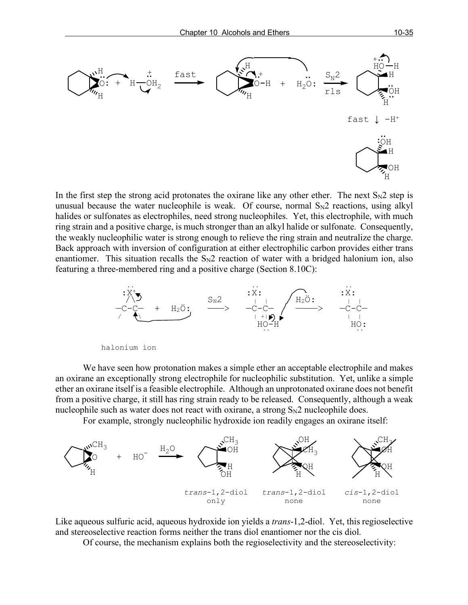

In the first step the strong acid protonates the oxirane like any other ether. The next  $S_N2$  step is unusual because the water nucleophile is weak. Of course, normal  $S_N2$  reactions, using alkyl halides or sulfonates as electrophiles, need strong nucleophiles. Yet, this electrophile, with much ring strain and a positive charge, is much stronger than an alkyl halide or sulfonate. Consequently, the weakly nucleophilic water is strong enough to relieve the ring strain and neutralize the charge. Back approach with inversion of configuration at either electrophilic carbon provides either trans enantiomer. This situation recalls the  $S_N2$  reaction of water with a bridged halonium ion, also featuring a three-membered ring and a positive charge (Section 8.10C):



We have seen how protonation makes a simple ether an acceptable electrophile and makes an oxirane an exceptionally strong electrophile for nucleophilic substitution. Yet, unlike a simple ether an oxirane itself is a feasible electrophile. Although an unprotonated oxirane does not benefit from a positive charge, it still has ring strain ready to be released. Consequently, although a weak nucleophile such as water does not react with oxirane, a strong  $S_N2$  nucleophile does.

For example, strongly nucleophilic hydroxide ion readily engages an oxirane itself:



Like aqueous sulfuric acid, aqueous hydroxide ion yields a *trans*-1,2-diol. Yet, this regioselective and stereoselective reaction forms neither the trans diol enantiomer nor the cis diol.

Of course, the mechanism explains both the regioselectivity and the stereoselectivity: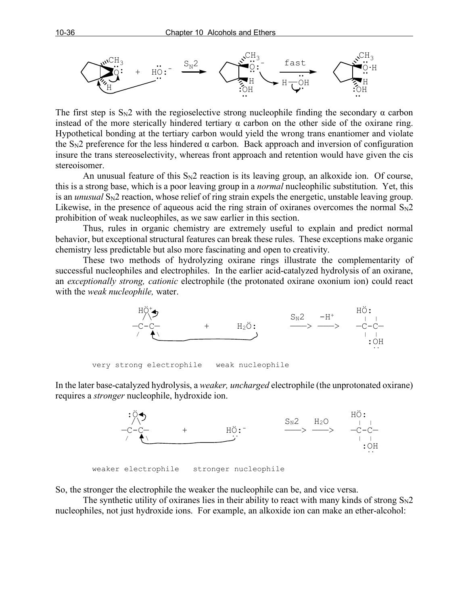

The first step is  $S_N^2$  with the regioselective strong nucleophile finding the secondary  $\alpha$  carbon instead of the more sterically hindered tertiary  $\alpha$  carbon on the other side of the oxirane ring. Hypothetical bonding at the tertiary carbon would yield the wrong trans enantiomer and violate the  $S_N2$  preference for the less hindered  $\alpha$  carbon. Back approach and inversion of configuration insure the trans stereoselectivity, whereas front approach and retention would have given the cis stereoisomer.

An unusual feature of this  $S_N2$  reaction is its leaving group, an alkoxide ion. Of course, this is a strong base, which is a poor leaving group in a *normal* nucleophilic substitution. Yet, this is an *unusual* S<sub>N</sub>2 reaction, whose relief of ring strain expels the energetic, unstable leaving group. Likewise, in the presence of aqueous acid the ring strain of oxiranes overcomes the normal  $S_N2$ prohibition of weak nucleophiles, as we saw earlier in this section.

Thus, rules in organic chemistry are extremely useful to explain and predict normal behavior, but exceptional structural features can break these rules. These exceptions make organic chemistry less predictable but also more fascinating and open to creativity.

These two methods of hydrolyzing oxirane rings illustrate the complementarity of successful nucleophiles and electrophiles. In the earlier acid-catalyzed hydrolysis of an oxirane, an *exceptionally strong, cationic* electrophile (the protonated oxirane oxonium ion) could react with the *weak nucleophile,* water.



very strong electrophile weak nucleophile

In the later base-catalyzed hydrolysis, a *weaker, uncharged* electrophile (the unprotonated oxirane) requires a *stronger* nucleophile, hydroxide ion.



weaker electrophile stronger nucleophile

So, the stronger the electrophile the weaker the nucleophile can be, and vice versa.

The synthetic utility of oxiranes lies in their ability to react with many kinds of strong  $S_N2$ nucleophiles, not just hydroxide ions. For example, an alkoxide ion can make an ether-alcohol: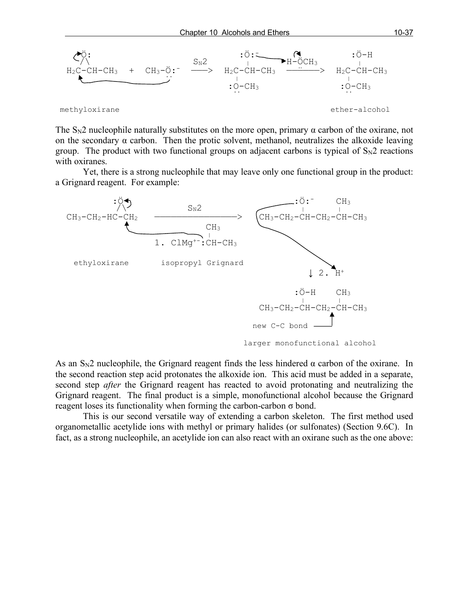

The  $S_N2$  nucleophile naturally substitutes on the more open, primary  $\alpha$  carbon of the oxirane, not on the secondary  $\alpha$  carbon. Then the protic solvent, methanol, neutralizes the alkoxide leaving group. The product with two functional groups on adjacent carbons is typical of  $S_N2$  reactions with oxiranes.

Yet, there is a strong nucleophile that may leave only one functional group in the product: a Grignard reagent. For example:



As an  $S_N$ 2 nucleophile, the Grignard reagent finds the less hindered  $\alpha$  carbon of the oxirane. In the second reaction step acid protonates the alkoxide ion. This acid must be added in a separate, second step *after* the Grignard reagent has reacted to avoid protonating and neutralizing the Grignard reagent. The final product is a simple, monofunctional alcohol because the Grignard reagent loses its functionality when forming the carbon-carbon σ bond.

This is our second versatile way of extending a carbon skeleton. The first method used organometallic acetylide ions with methyl or primary halides (or sulfonates) (Section 9.6C). In fact, as a strong nucleophile, an acetylide ion can also react with an oxirane such as the one above: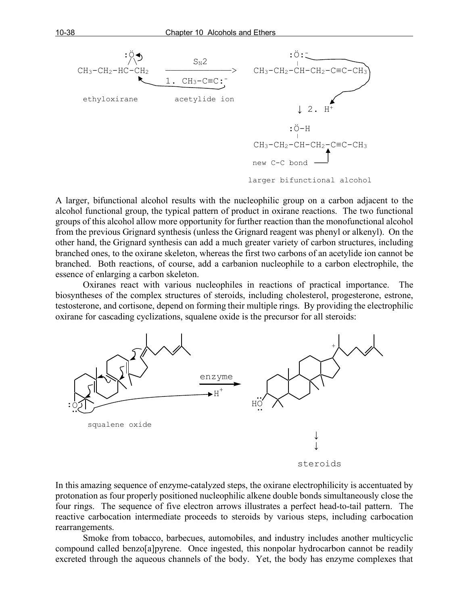

A larger, bifunctional alcohol results with the nucleophilic group on a carbon adjacent to the alcohol functional group, the typical pattern of product in oxirane reactions. The two functional groups of this alcohol allow more opportunity for further reaction than the monofunctional alcohol from the previous Grignard synthesis (unless the Grignard reagent was phenyl or alkenyl). On the other hand, the Grignard synthesis can add a much greater variety of carbon structures, including branched ones, to the oxirane skeleton, whereas the first two carbons of an acetylide ion cannot be branched. Both reactions, of course, add a carbanion nucleophile to a carbon electrophile, the essence of enlarging a carbon skeleton.

Oxiranes react with various nucleophiles in reactions of practical importance. The biosyntheses of the complex structures of steroids, including cholesterol, progesterone, estrone, testosterone, and cortisone, depend on forming their multiple rings. By providing the electrophilic oxirane for cascading cyclizations, squalene oxide is the precursor for all steroids:



steroids

In this amazing sequence of enzyme-catalyzed steps, the oxirane electrophilicity is accentuated by protonation as four properly positioned nucleophilic alkene double bonds simultaneously close the four rings. The sequence of five electron arrows illustrates a perfect head-to-tail pattern. The reactive carbocation intermediate proceeds to steroids by various steps, including carbocation rearrangements.

Smoke from tobacco, barbecues, automobiles, and industry includes another multicyclic compound called benzo[a]pyrene. Once ingested, this nonpolar hydrocarbon cannot be readily excreted through the aqueous channels of the body. Yet, the body has enzyme complexes that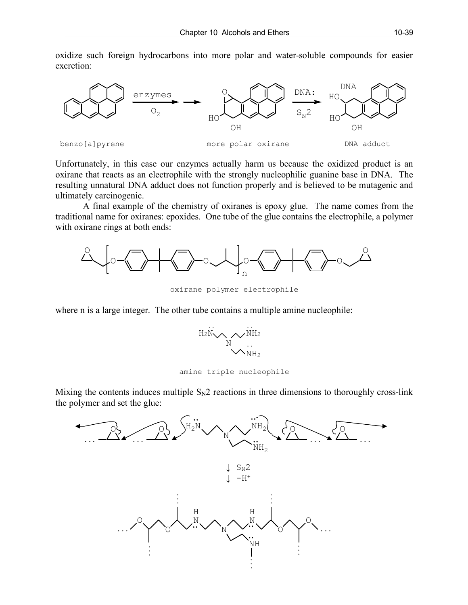oxidize such foreign hydrocarbons into more polar and water-soluble compounds for easier excretion:



Unfortunately, in this case our enzymes actually harm us because the oxidized product is an oxirane that reacts as an electrophile with the strongly nucleophilic guanine base in DNA. The resulting unnatural DNA adduct does not function properly and is believed to be mutagenic and ultimately carcinogenic.

A final example of the chemistry of oxiranes is epoxy glue. The name comes from the traditional name for oxiranes: epoxides. One tube of the glue contains the electrophile, a polymer with oxirane rings at both ends:



oxirane polymer electrophile

where n is a large integer. The other tube contains a multiple amine nucleophile:



amine triple nucleophile

Mixing the contents induces multiple  $S_N2$  reactions in three dimensions to thoroughly cross-link the polymer and set the glue:

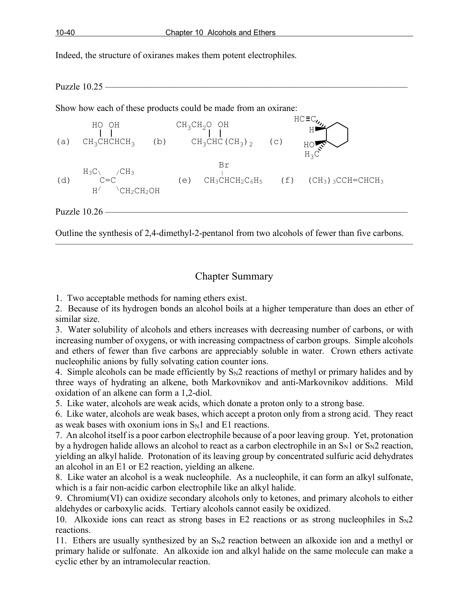Indeed, the structure of oxiranes makes them potent electrophiles.

Puzzle 10.25 –

Show how each of these products could be made from an oxirane:



Puzzle 10.26 –

Outline the synthesis of 2,4-dimethyl-2-pentanol from two alcohols of fewer than five carbons. ———————————————————————————————————————

## Chapter Summary

1. Two acceptable methods for naming ethers exist.

2. Because of its hydrogen bonds an alcohol boils at a higher temperature than does an ether of similar size.

3. Water solubility of alcohols and ethers increases with decreasing number of carbons, or with increasing number of oxygens, or with increasing compactness of carbon groups. Simple alcohols and ethers of fewer than five carbons are appreciably soluble in water. Crown ethers activate nucleophilic anions by fully solvating cation counter ions.

4. Simple alcohols can be made efficiently by  $S_N2$  reactions of methyl or primary halides and by three ways of hydrating an alkene, both Markovnikov and anti-Markovnikov additions. Mild oxidation of an alkene can form a 1,2-diol.

5. Like water, alcohols are weak acids, which donate a proton only to a strong base.

6. Like water, alcohols are weak bases, which accept a proton only from a strong acid. They react as weak bases with oxonium ions in  $S_N1$  and E1 reactions.

7. An alcohol itself is a poor carbon electrophile because of a poor leaving group. Yet, protonation by a hydrogen halide allows an alcohol to react as a carbon electrophile in an  $S_N1$  or  $S_N2$  reaction, yielding an alkyl halide. Protonation of its leaving group by concentrated sulfuric acid dehydrates an alcohol in an E1 or E2 reaction, yielding an alkene.

8. Like water an alcohol is a weak nucleophile. As a nucleophile, it can form an alkyl sulfonate, which is a fair non-acidic carbon electrophile like an alkyl halide.

9. Chromium(VI) can oxidize secondary alcohols only to ketones, and primary alcohols to either aldehydes or carboxylic acids. Tertiary alcohols cannot easily be oxidized.

10. Alkoxide ions can react as strong bases in E2 reactions or as strong nucleophiles in  $S_N2$ reactions.

11. Ethers are usually synthesized by an  $S_N2$  reaction between an alkoxide ion and a methyl or primary halide or sulfonate. An alkoxide ion and alkyl halide on the same molecule can make a cyclic ether by an intramolecular reaction.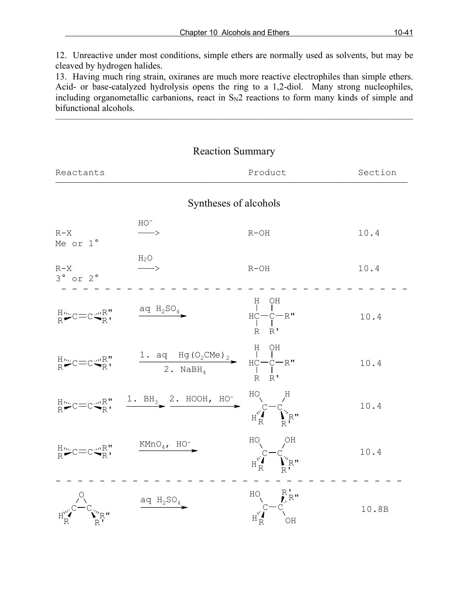12. Unreactive under most conditions, simple ethers are normally used as solvents, but may be cleaved by hydrogen halides.

13. Having much ring strain, oxiranes are much more reactive electrophiles than simple ethers. Acid- or base-catalyzed hydrolysis opens the ring to a 1,2-diol. Many strong nucleophiles, including organometallic carbanions, react in  $S_N2$  reactions to form many kinds of simple and bifunctional alcohols.

 $\overline{\phantom{a}}$  , and the contract of the contract of  $\overline{\phantom{a}}$ 

| <b>Reaction Summary</b>                                                                                                                                                                                                                                                                                                                                                                                                                                                                                                                                                                                                                                         |                                                                                                                                                                                                                                                                                                                                                                                   |                                                                                                                                                                                                                                                                         |         |  |
|-----------------------------------------------------------------------------------------------------------------------------------------------------------------------------------------------------------------------------------------------------------------------------------------------------------------------------------------------------------------------------------------------------------------------------------------------------------------------------------------------------------------------------------------------------------------------------------------------------------------------------------------------------------------|-----------------------------------------------------------------------------------------------------------------------------------------------------------------------------------------------------------------------------------------------------------------------------------------------------------------------------------------------------------------------------------|-------------------------------------------------------------------------------------------------------------------------------------------------------------------------------------------------------------------------------------------------------------------------|---------|--|
| Reactants                                                                                                                                                                                                                                                                                                                                                                                                                                                                                                                                                                                                                                                       |                                                                                                                                                                                                                                                                                                                                                                                   | Product                                                                                                                                                                                                                                                                 | Section |  |
| Syntheses of alcohols                                                                                                                                                                                                                                                                                                                                                                                                                                                                                                                                                                                                                                           |                                                                                                                                                                                                                                                                                                                                                                                   |                                                                                                                                                                                                                                                                         |         |  |
| $R - X$<br>Me or 1°                                                                                                                                                                                                                                                                                                                                                                                                                                                                                                                                                                                                                                             | $\rm HO^-$<br>$\longrightarrow$                                                                                                                                                                                                                                                                                                                                                   | $R-OH$                                                                                                                                                                                                                                                                  | 10.4    |  |
| $R - X$<br>$3^{\circ}$ or $2^{\circ}$                                                                                                                                                                                                                                                                                                                                                                                                                                                                                                                                                                                                                           | $H_2O$<br>$\longrightarrow$                                                                                                                                                                                                                                                                                                                                                       | $R-OH$                                                                                                                                                                                                                                                                  | 10.4    |  |
| $R^{\mu\nu}_{\mathbf{R}}$ C $=$ C $\mathbb{R}^{\mathbf{N}}_{\mathbf{R}}$                                                                                                                                                                                                                                                                                                                                                                                                                                                                                                                                                                                        | $\frac{\text{aq H}_2\text{SO}_4}{\text{O}_4}$                                                                                                                                                                                                                                                                                                                                     | $\begin{array}{c} \mathbf{H} \quad \mathbf{O} \mathbf{H} \\   \quad   \quad   \\ \mathbf{H} \mathbf{C} \mathbf{--} \mathbf{C} \mathbf{--} \mathbf{R}^{\mathsf{T}} \\   \quad   \quad . \end{array}$                                                                     | 10.4    |  |
|                                                                                                                                                                                                                                                                                                                                                                                                                                                                                                                                                                                                                                                                 | ${}^{\text{H}_{\text{W}}}_{\text{R}}C=C \overset{\text{wR}}{\bullet R}$ , ${}^{\text{H}}$ ${}^{\text{H}}$ ${}^{\text{H}}$ ${}^{\text{H}}$ ${}^{\text{H}}$ ${}^{\text{H}}$ ${}^{\text{H}}$ ${}^{\text{H}}$ ${}^{\text{H}}$ ${}^{\text{H}}$ ${}^{\text{H}}$ ${}^{\text{H}}$ ${}^{\text{H}}$ ${}^{\text{H}}$ ${}^{\text{H}}$ ${}^{\text{H}}$ ${}^{\text{H}}$ ${}^{\text{H}}$ ${}^{\$ |                                                                                                                                                                                                                                                                         | 10.4    |  |
|                                                                                                                                                                                                                                                                                                                                                                                                                                                                                                                                                                                                                                                                 | ${}^{\text{H}_{\text{m}}}_{\text{R}}C=C\overset{\text{m}_{\text{R}}}{\bigwedge}$ $\qquad \qquad \frac{1. \text{BH}_{3}}{2. \text{ HOOH, HO}} \xrightarrow{\text{HO}_{\text{C}}}\overset{\text{HO}_{\text{C}}}{\bigwedge_{\text{R}}^{S}}\overset{\text{H}}{\bigwedge_{\text{R}}^{S}}\overset{\text{H}}{\bigwedge_{\text{R}}^{S}}\overset{\text{H}}{\bigwedge_{\text{R}}^{S}}$      |                                                                                                                                                                                                                                                                         | 10.4    |  |
|                                                                                                                                                                                                                                                                                                                                                                                                                                                                                                                                                                                                                                                                 | ${}^{\text{H}_{\text{W}}}_{\text{R}}$ C=C ${}^{\text{W}_{\text{R}}\text{R}}$ , ${}^{\text{KMD}_{\text{4}}$ , HO <sup>-</sup>                                                                                                                                                                                                                                                      | $\begin{array}{c} \text{HO} \\ \text{C} \\ \text{C} \\ \text{H}^{\circ} \\ \text{R} \end{array} \begin{array}{c} \text{OH} \\ \text{C} \\ \text{C} \\ \text{R} \\ \text{R} \end{array}$                                                                                 | 10.4    |  |
| $\begin{matrix} \circ \\ \circ \\ \circ \\ \circ \end{matrix} C \begin{matrix} \circ \\ \circ \\ \circ \\ \circ \\ \circ \\ \circ \end{matrix} C \begin{matrix} \circ \\ \circ \\ \circ \\ \circ \\ \circ \\ \circ \end{matrix} C \begin{matrix} \circ \\ \circ \\ \circ \\ \circ \\ \circ \\ \circ \end{matrix} C \begin{matrix} \circ \\ \circ \\ \circ \\ \circ \\ \circ \\ \circ \end{matrix} C \begin{matrix} \circ \\ \circ \\ \circ \\ \circ \\ \circ \\ \circ \\ \circ \end{matrix} C \begin{matrix} \circ \\ \circ \\ \circ \\ \circ \\ \circ \\ \circ \\ \circ \end{matrix} C \begin{matrix} \circ \\ \circ \\ \circ \\ \circ \\ \circ \\ \circ \\ \$ | $\overline{q}$ H <sub>2</sub> SO <sub>4</sub>                                                                                                                                                                                                                                                                                                                                     | $\begin{array}{ccc} \mathtt{HO} & \underset{\mathbf{C}}{\mathbf{R}}\overset{\mathbf{R}}{\mathbf{C}}\mathbf{R}^{\mathbf{H}} \\ \downarrow \overset{\mathbf{C}}{\mathbf{C}}\overset{\mathbf{C}}{\mathbf{C}}\underset{\mathbf{O}\mathbf{H}}{\mathbf{C}} \end{array}$<br>OH | 10.8B   |  |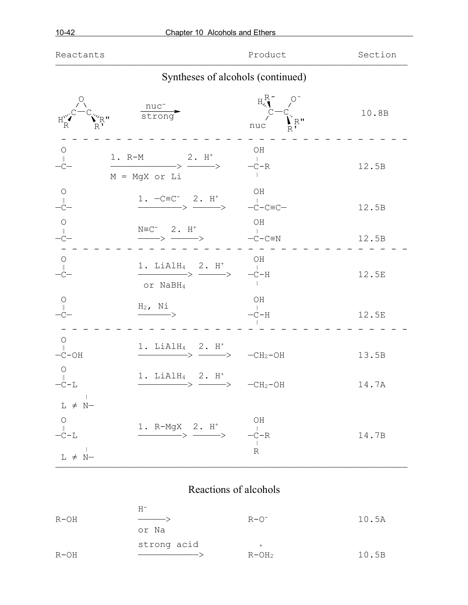| Reactants                                                                                                                                                                                                     |                                                                                   | Product                                                              | Section |
|---------------------------------------------------------------------------------------------------------------------------------------------------------------------------------------------------------------|-----------------------------------------------------------------------------------|----------------------------------------------------------------------|---------|
|                                                                                                                                                                                                               | Syntheses of alcohols (continued)                                                 |                                                                      |         |
| R''R''                                                                                                                                                                                                        | $\frac{nuc^{-}}{strong}$                                                          | $H_{\gamma}^{R}$ 0<br>$C$ <sup>C-C</sup> $\bigvee_{R}^{R}$ R"<br>nuc | 10.8B   |
| $\circlearrowright$                                                                                                                                                                                           | 1. $R-M$ 2. $H^+$<br>$\longrightarrow$ $\longrightarrow$<br>$M = MgX$ or Li       | OH<br>$-C-R$                                                         | 12.5B   |
| $\bigcirc$                                                                                                                                                                                                    | $\xrightarrow{1.} -C \equiv C^- \quad 2. \quad H^+$                               | OН<br>$-C-C\equiv C-$                                                | 12.5B   |
|                                                                                                                                                                                                               | $N \equiv C^-$ 2. H <sup>+</sup><br>$\longrightarrow \text{---} \rangle$          | OH<br>$-C-C\equiv N$                                                 | 12.5B   |
| $-C-$                                                                                                                                                                                                         | 1. LiAlH <sub>4</sub> 2. $H^+$<br>$\longrightarrow$ $\longrightarrow$<br>or NaBH4 | OH<br>$-C-H$                                                         | 12.5E   |
| $\frac{1}{2}$                                                                                                                                                                                                 | $H_2$ , Ni<br>$\longrightarrow$                                                   | OН<br>$-C-H$                                                         | 12.5E   |
| $\circ$<br>$-C-OH$                                                                                                                                                                                            | 1. LiAlH $_4$ 2. H <sup>+</sup><br>->                                             | $-CH2-OH$                                                            | 13.5B   |
| $\circ$<br>$\parallel$<br>$-C-L$                                                                                                                                                                              | $1.$ LiAlH <sub>4</sub> 2. H <sup>+</sup>                                         |                                                                      | 14.7A   |
| $\begin{array}{ccccc} & & & &   & \\ \text{L} & \ne & \text{N} & \text{ } \end{array}$<br>$\begin{array}{c} \bigcirc \\ \mathbin{\mathbb C} - \mathbin{\mathbb L} \end{array}$<br>$\mathbb{R}$<br>$L \neq N-$ | 1. R-MgX 2. $H^+$<br>$\longrightarrow$                                            | OH<br>$-c - R$<br>$\mathbb R$                                        | 14.7B   |

# Reactions of alcohols

|        | Н-          |           |       |
|--------|-------------|-----------|-------|
| R-OH   |             | $R - O^-$ | 10.5A |
|        | or Na       |           |       |
|        | strong acid | $+$       |       |
| $R-OH$ |             | $R-OH2$   | 10.5B |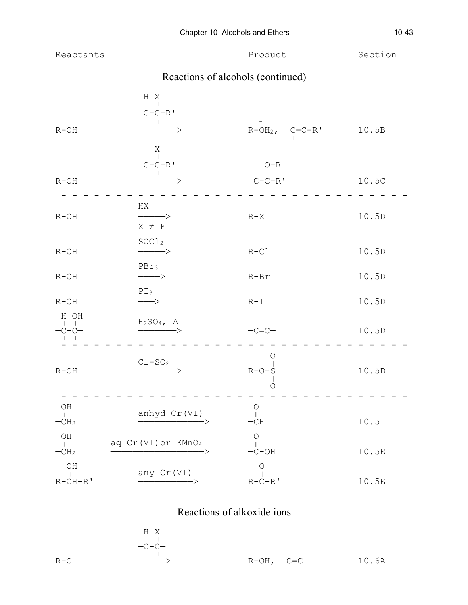|                                    |                                                                                             | Chapter 10 Alcohols and Ethers    | $10 - 43$ |
|------------------------------------|---------------------------------------------------------------------------------------------|-----------------------------------|-----------|
| Reactants                          |                                                                                             | Product                           | Section   |
|                                    |                                                                                             | Reactions of alcohols (continued) |           |
| $R-OH$                             | H X<br>$\Box$<br>$-C-C-R$<br>$\mathbf{1}$ $\mathbf{1}$<br>$\overbrace{\hspace{1.5cm}}$<br>Χ | $R-OH_2$ , $-C= C-R$ <sup>'</sup> | 10.5B     |
| $R-OH$                             | $-C-C-R$ <sup>'</sup>                                                                       | $O - R$<br>$-C-C-R$               | 10.5C     |
| $R-OH$                             | НX<br>$\longrightarrow$<br>$X \neq F$                                                       | $R-X$                             | 10.5D     |
| $R-OH$                             | SOC1 <sub>2</sub><br>$\longrightarrow$                                                      | $R-Cl$                            | 10.5D     |
| $R-OH$                             | $PBr_3$<br>$\longrightarrow$                                                                | $R-Br$                            | 10.5D     |
| $R-OH$                             | $PI_3$<br>$\longrightarrow$                                                                 | $R-I$                             | 10.5D     |
| H OH<br>$-c$ - $-c$ -              | $\xrightarrow{\text{H}_2\text{SO}_4, \quad \Delta}$                                         |                                   | 10.5D     |
| $R-OH$                             | $C1-SO2$                                                                                    | $\circ$<br>$R-O-S$<br>$\circ$     | 10.5D     |
| OH<br>$\mathbb{R}$<br>$-CH2$       | anhyd Cr (VI)                                                                               | $\bigcirc$<br>$\ $<br>-CH         | 10.5      |
| $\rm OH$<br>$\mathbb{R}$<br>$-CH2$ | aq Cr (VI) or KMnO4                                                                         | $\bigcirc$<br>$-C-OH$             | 10.5E     |
| OH<br>$R-CH-R$                     | any Cr (VI)                                                                                 | $\bigcirc$<br>$R-C-R$ '           | 10.5E     |

# Reactions of alkoxide ions

 $H X$ <br>  $- C - C - C - C - C$ 

$$
\mathcal{L}^{\mathcal{L}}(\mathcal{L}^{\mathcal{L}}(\mathcal{L}^{\mathcal{L}}))
$$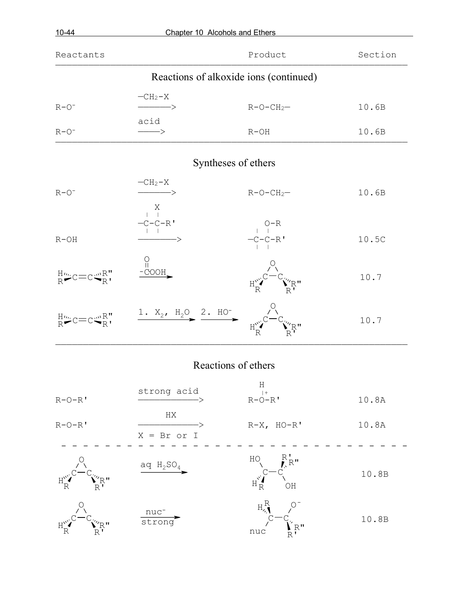|                                               | Product                                                                                                                                | Section                                                                                                                                                                                                                                                        |
|-----------------------------------------------|----------------------------------------------------------------------------------------------------------------------------------------|----------------------------------------------------------------------------------------------------------------------------------------------------------------------------------------------------------------------------------------------------------------|
|                                               |                                                                                                                                        |                                                                                                                                                                                                                                                                |
| $-CH2-X$                                      | $R-O-CH2$ -                                                                                                                            | 10.6B                                                                                                                                                                                                                                                          |
| $\longrightarrow$                             | $R-OH$                                                                                                                                 | 10.6B                                                                                                                                                                                                                                                          |
|                                               |                                                                                                                                        |                                                                                                                                                                                                                                                                |
| $-CH2-X$                                      | $R-O-CH2$ -                                                                                                                            | 10.6B                                                                                                                                                                                                                                                          |
| $-C-C-R$ <sup>'</sup>                         | $\begin{array}{c} \mathsf{O} \mathsf{-R} \\ \mathsf{-C} \mathsf{-C} \mathsf{-R} \\ \mathsf{-C} \mathsf{-C} \\ \mathsf{-I} \end{array}$ | 10.5C                                                                                                                                                                                                                                                          |
| $\begin{matrix} 0 \\ 1 \\ -COOH \end{matrix}$ |                                                                                                                                        | 10.7                                                                                                                                                                                                                                                           |
|                                               |                                                                                                                                        | 10.7                                                                                                                                                                                                                                                           |
|                                               | acid<br>$\begin{array}{c} \nX \\ \downarrow \n\end{array}$                                                                             | Chapter 10 Alcohols and Ethers<br>Reactions of alkoxide ions (continued)<br>Syntheses of ethers<br>${}^{\text{H}_{\text{tot}}}_{\text{R}}$ c=c ${}^{\text{m}_{\text{R}}}_{\text{R}}$ , ${}^{\text{1. X}_2, \text{ H}_2O}_{\text{2. H}_2}$ ${}^{\text{2. H}_2}$ |

## Reactions of ethers

| $R-O-R$ '                                                   | strong acid                | Η<br>$  +$<br>$R-O-R$ '                                                                      | 10.8A |
|-------------------------------------------------------------|----------------------------|----------------------------------------------------------------------------------------------|-------|
| $R-O-R$ '                                                   | HX<br>$X = Br$ or I        | $R-X$ , $HO-R'$                                                                              | 10.8A |
| $\mathbb{Z}^n$ R <sup>n</sup><br>$H_{R}^{\nu\lambda}$<br>R' | aq $H_2SO_4$               | $R_{\rm R}^{\rm T}$<br>HO <sub>.</sub><br>$\textbf{H}^{\mathbf{v}_\bullet}_\textbf{R}$<br>OH | 10.8B |
| '″R"                                                        | nuc <sup>-</sup><br>strong | $H_{\lambda}^R$<br>$V_{R}$<br>nuc<br>$\overline{\mathsf{R}}$                                 | 10.8B |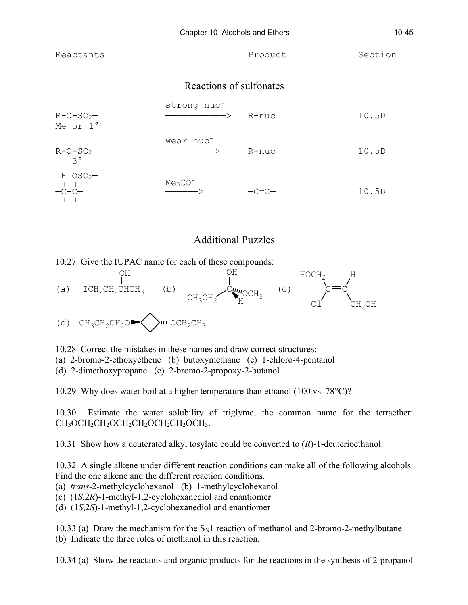| $10 - 45$<br>Chapter 10 Alcohols and Ethers |                                                                |                         |         |
|---------------------------------------------|----------------------------------------------------------------|-------------------------|---------|
| Reactants                                   |                                                                | Product                 | Section |
|                                             |                                                                | Reactions of sulfonates |         |
| $R-O-SO2$<br>Me or 1°                       | strong nuc <sup>-</sup><br>$\longrightarrow$ $\longrightarrow$ | - R-nuc                 | 10.5D   |
| $R - O - SO2$<br>$3^{\circ}$                | weak nuc <sup>-</sup><br>$\longrightarrow$ $\longrightarrow$   | $R$ -nuc                | 10.5D   |
| $H$ OSO <sub>2</sub> $-$<br>$-C-C-$         | $Me3CO-$                                                       | $-c=c-$                 | 10.5D   |

## Additional Puzzles

————————————————————————————————————————————————————————————————

10.27 Give the IUPAC name for each of these compounds:



10.28 Correct the mistakes in these names and draw correct structures:

(a) 2-bromo-2-ethoxyethene (b) butoxymethane (c) 1-chloro-4-pentanol

(d) 2-dimethoxypropane (e) 2-bromo-2-propoxy-2-butanol

10.29 Why does water boil at a higher temperature than ethanol (100 vs.  $78^{\circ}$ C)?

10.30 Estimate the water solubility of triglyme, the common name for the tetraether: CH3OCH2CH2OCH2CH2OCH3.

10.31 Show how a deuterated alkyl tosylate could be converted to (*R*)-1-deuterioethanol.

10.32 A single alkene under different reaction conditions can make all of the following alcohols. Find the one alkene and the different reaction conditions.

(a) *trans*-2-methylcyclohexanol (b) 1-methylcyclohexanol

(c) (1*S*,2*R*)-1-methyl-1,2-cyclohexanediol and enantiomer

(d) (1*S*,2*S*)-1-methyl-1,2-cyclohexanediol and enantiomer

10.33 (a) Draw the mechanism for the  $S_N1$  reaction of methanol and 2-bromo-2-methylbutane. (b) Indicate the three roles of methanol in this reaction.

10.34 (a) Show the reactants and organic products for the reactions in the synthesis of 2-propanol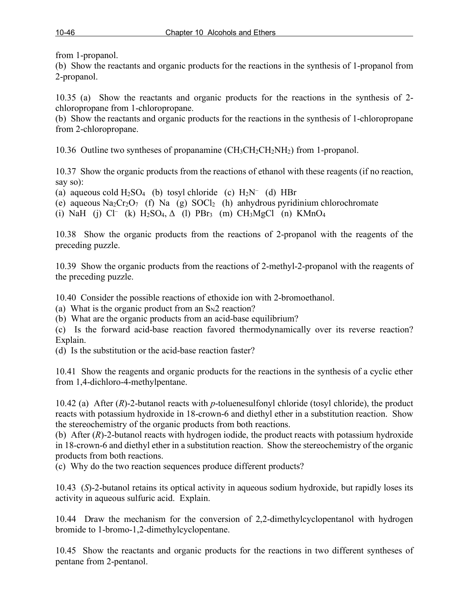from 1-propanol.

(b) Show the reactants and organic products for the reactions in the synthesis of 1-propanol from 2-propanol.

10.35 (a) Show the reactants and organic products for the reactions in the synthesis of 2 chloropropane from 1-chloropropane.

(b) Show the reactants and organic products for the reactions in the synthesis of 1-chloropropane from 2-chloropropane.

10.36 Outline two syntheses of propanamine (CH3CH2CH2NH2) from 1-propanol.

10.37 Show the organic products from the reactions of ethanol with these reagents (if no reaction, say so):

(a) aqueous cold  $H_2SO_4$  (b) tosyl chloride (c)  $H_2N^-$  (d) HBr

(e) aqueous  $\text{Na}_2\text{Cr}_2\text{O}_7$  (f) Na (g)  $\text{SOCl}_2$  (h) anhydrous pyridinium chlorochromate

(i) NaH (j) Cl<sup>-</sup> (k) H<sub>2</sub>SO<sub>4</sub>,  $\Delta$  (l) PBr<sub>3</sub> (m) CH<sub>3</sub>MgCl (n) KMnO<sub>4</sub>

10.38 Show the organic products from the reactions of 2-propanol with the reagents of the preceding puzzle.

10.39 Show the organic products from the reactions of 2-methyl-2-propanol with the reagents of the preceding puzzle.

10.40 Consider the possible reactions of ethoxide ion with 2-bromoethanol.

(a) What is the organic product from an  $S_N2$  reaction?

(b) What are the organic products from an acid-base equilibrium?

(c) Is the forward acid-base reaction favored thermodynamically over its reverse reaction? Explain.

(d) Is the substitution or the acid-base reaction faster?

10.41 Show the reagents and organic products for the reactions in the synthesis of a cyclic ether from 1,4-dichloro-4-methylpentane.

10.42 (a) After (*R*)-2-butanol reacts with *p*-toluenesulfonyl chloride (tosyl chloride), the product reacts with potassium hydroxide in 18-crown-6 and diethyl ether in a substitution reaction. Show the stereochemistry of the organic products from both reactions.

(b) After (*R*)-2-butanol reacts with hydrogen iodide, the product reacts with potassium hydroxide in 18-crown-6 and diethyl ether in a substitution reaction. Show the stereochemistry of the organic products from both reactions.

(c) Why do the two reaction sequences produce different products?

10.43 (*S*)-2-butanol retains its optical activity in aqueous sodium hydroxide, but rapidly loses its activity in aqueous sulfuric acid. Explain.

10.44 Draw the mechanism for the conversion of 2,2-dimethylcyclopentanol with hydrogen bromide to 1-bromo-1,2-dimethylcyclopentane.

10.45 Show the reactants and organic products for the reactions in two different syntheses of pentane from 2-pentanol.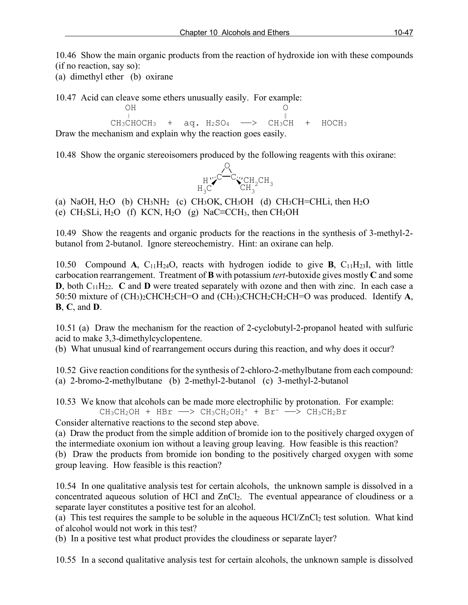10.46 Show the main organic products from the reaction of hydroxide ion with these compounds (if no reaction, say so):

(a) dimethyl ether (b) oxirane

10.47 Acid can cleave some ethers unusually easily. For example:

 OH O | ‖  $CH_3CHOCH_3$  + aq.  $H_2SO_4$  -  $>$   $CH_3CH$  +  $HOCH_3$ Draw the mechanism and explain why the reaction goes easily.

10.48 Show the organic stereoisomers produced by the following reagents with this oxirane:



(a) NaOH,  $H_2O$  (b) CH<sub>3</sub>NH<sub>2</sub> (c) CH<sub>3</sub>OK, CH<sub>3</sub>OH (d) CH<sub>3</sub>CH=CHLi, then H<sub>2</sub>O (e) CH<sub>3</sub>SLi, H<sub>2</sub>O (f) KCN, H<sub>2</sub>O (g) NaC≡CCH<sub>3</sub>, then CH<sub>3</sub>OH

10.49 Show the reagents and organic products for the reactions in the synthesis of 3-methyl-2 butanol from 2-butanol. Ignore stereochemistry. Hint: an oxirane can help.

10.50 Compound **A**, C11H24O, reacts with hydrogen iodide to give **B**, C11H23I, with little carbocation rearrangement. Treatment of **B** with potassium *tert*-butoxide gives mostly **C** and some **D**, both  $C_{11}H_{22}$ . **C** and **D** were treated separately with ozone and then with zinc. In each case a 50:50 mixture of (CH3)2CHCH2CH=O and (CH3)2CHCH2CH2CH=O was produced. Identify **A**, **B**, **C**, and **D**.

10.51 (a) Draw the mechanism for the reaction of 2-cyclobutyl-2-propanol heated with sulfuric acid to make 3,3-dimethylcyclopentene.

(b) What unusual kind of rearrangement occurs during this reaction, and why does it occur?

10.52 Give reaction conditions for the synthesis of 2-chloro-2-methylbutane from each compound: (a) 2-bromo-2-methylbutane (b) 2-methyl-2-butanol (c) 3-methyl-2-butanol

10.53 We know that alcohols can be made more electrophilic by protonation. For example:

 $CH_3CH_2OH$  + HBr  $\longrightarrow CH_3CH_2OH_2$ <sup>+</sup> + Br<sup>-</sup>  $\longrightarrow CH_3CH_2Br$ 

Consider alternative reactions to the second step above.

(a) Draw the product from the simple addition of bromide ion to the positively charged oxygen of the intermediate oxonium ion without a leaving group leaving. How feasible is this reaction? (b) Draw the products from bromide ion bonding to the positively charged oxygen with some group leaving. How feasible is this reaction?

10.54 In one qualitative analysis test for certain alcohols, the unknown sample is dissolved in a concentrated aqueous solution of HCl and ZnCl2. The eventual appearance of cloudiness or a separate layer constitutes a positive test for an alcohol.

(a) This test requires the sample to be soluble in the aqueous  $HCl/ZnCl<sub>2</sub>$  test solution. What kind of alcohol would not work in this test?

(b) In a positive test what product provides the cloudiness or separate layer?

10.55 In a second qualitative analysis test for certain alcohols, the unknown sample is dissolved